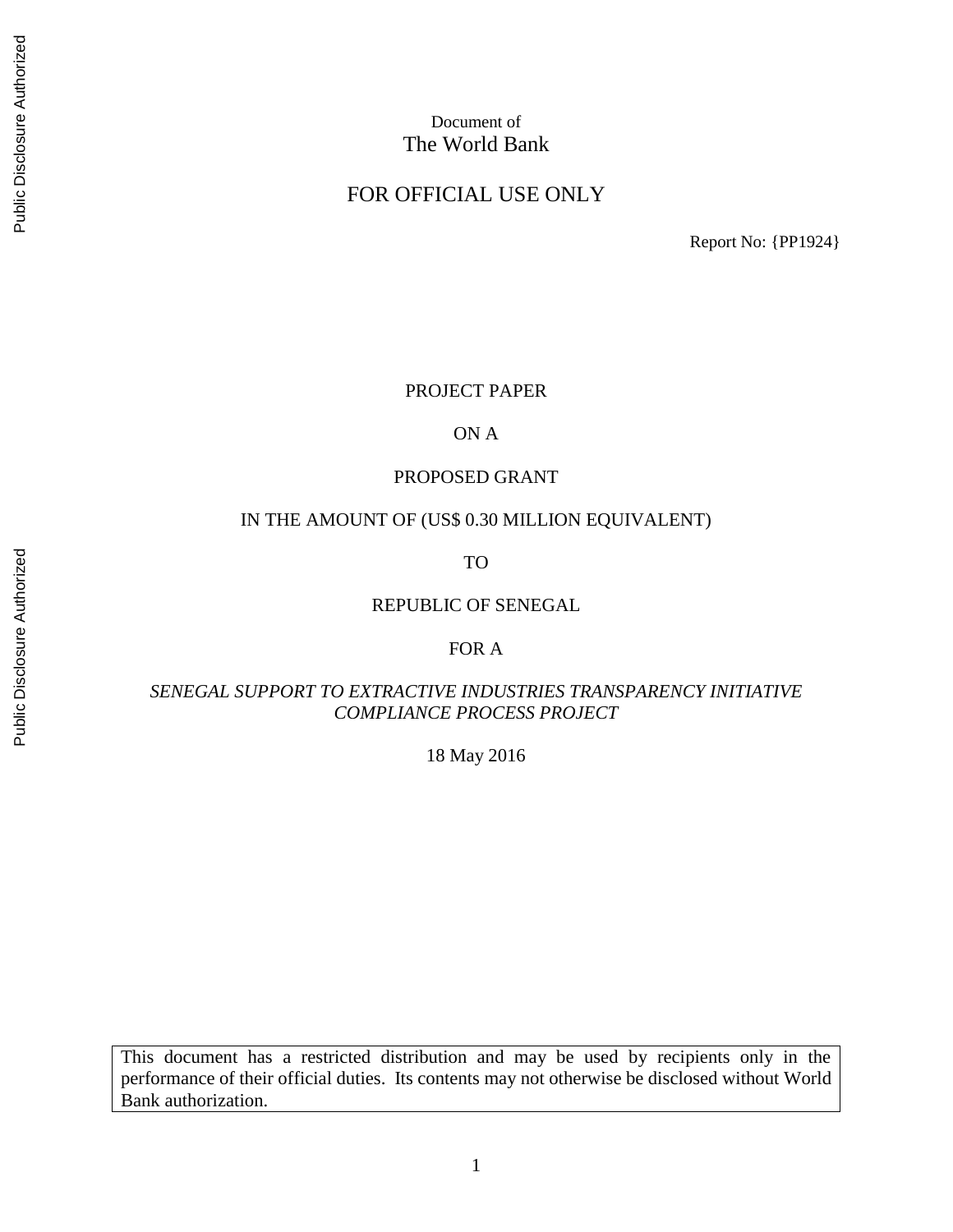# Public Disclosure Authorized Public Disclosure Authorized

# Document of The World Bank

#### FOR OFFICIAL USE ONLY

Report No: {PP1924}

#### PROJECT PAPER

#### ON A

#### PROPOSED GRANT

#### IN THE AMOUNT OF (US\$ 0.30 MILLION EQUIVALENT)

TO

#### REPUBLIC OF SENEGAL

#### FOR A

#### *SENEGAL SUPPORT TO EXTRACTIVE INDUSTRIES TRANSPARENCY INITIATIVE COMPLIANCE PROCESS PROJECT*

18 May 2016

This document has a restricted distribution and may be used by recipients only in the performance of their official duties. Its contents may not otherwise be disclosed without World Bank authorization.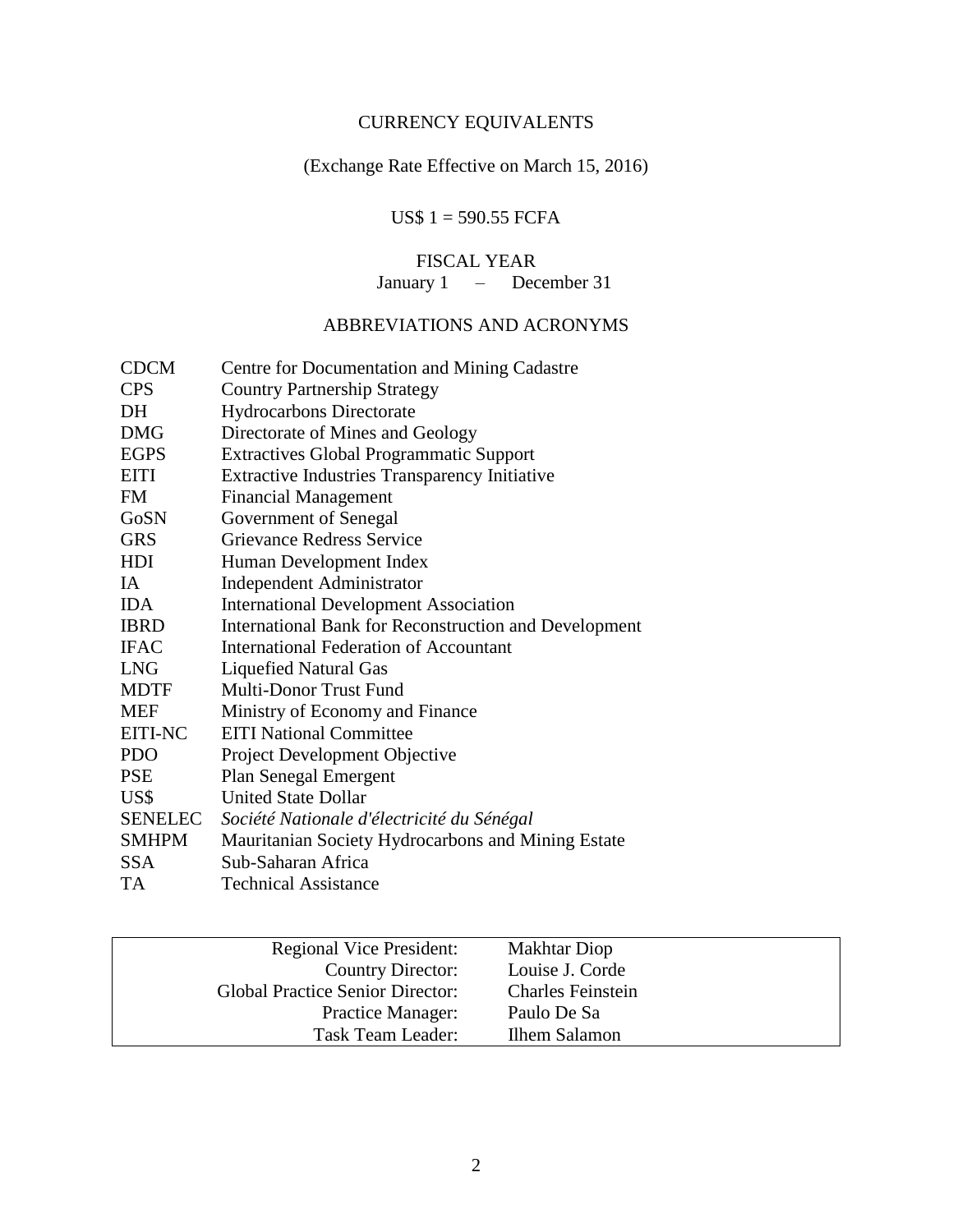# CURRENCY EQUIVALENTS

# (Exchange Rate Effective on March 15, 2016)

# US\$ 1 = 590.55 FCFA

#### FISCAL YEAR

January 1 – December 31

# ABBREVIATIONS AND ACRONYMS

| <b>CDCM</b>    | Centre for Documentation and Mining Cadastre                 |
|----------------|--------------------------------------------------------------|
| <b>CPS</b>     | <b>Country Partnership Strategy</b>                          |
| DH             | <b>Hydrocarbons Directorate</b>                              |
| <b>DMG</b>     | Directorate of Mines and Geology                             |
| <b>EGPS</b>    | <b>Extractives Global Programmatic Support</b>               |
| <b>EITI</b>    | <b>Extractive Industries Transparency Initiative</b>         |
| FM             | <b>Financial Management</b>                                  |
| GoSN           | Government of Senegal                                        |
| <b>GRS</b>     | Grievance Redress Service                                    |
| <b>HDI</b>     | Human Development Index                                      |
| IA             | <b>Independent Administrator</b>                             |
| <b>IDA</b>     | <b>International Development Association</b>                 |
| <b>IBRD</b>    | <b>International Bank for Reconstruction and Development</b> |
| <b>IFAC</b>    | <b>International Federation of Accountant</b>                |
| <b>LNG</b>     | <b>Liquefied Natural Gas</b>                                 |
| <b>MDTF</b>    | Multi-Donor Trust Fund                                       |
| <b>MEF</b>     | Ministry of Economy and Finance                              |
| <b>EITI-NC</b> | <b>EITI National Committee</b>                               |
| <b>PDO</b>     | <b>Project Development Objective</b>                         |
| <b>PSE</b>     | <b>Plan Senegal Emergent</b>                                 |
| US\$           | <b>United State Dollar</b>                                   |
| <b>SENELEC</b> | Société Nationale d'électricité du Sénégal                   |
| <b>SMHPM</b>   | Mauritanian Society Hydrocarbons and Mining Estate           |
| <b>SSA</b>     | Sub-Saharan Africa                                           |
| TA             | <b>Technical Assistance</b>                                  |

| <b>Regional Vice President:</b>         | <b>Makhtar Diop</b>      |
|-----------------------------------------|--------------------------|
| Country Director:                       | Louise J. Corde          |
| <b>Global Practice Senior Director:</b> | <b>Charles Feinstein</b> |
| <b>Practice Manager:</b>                | Paulo De Sa              |
| Task Team Leader:                       | Ilhem Salamon            |
|                                         |                          |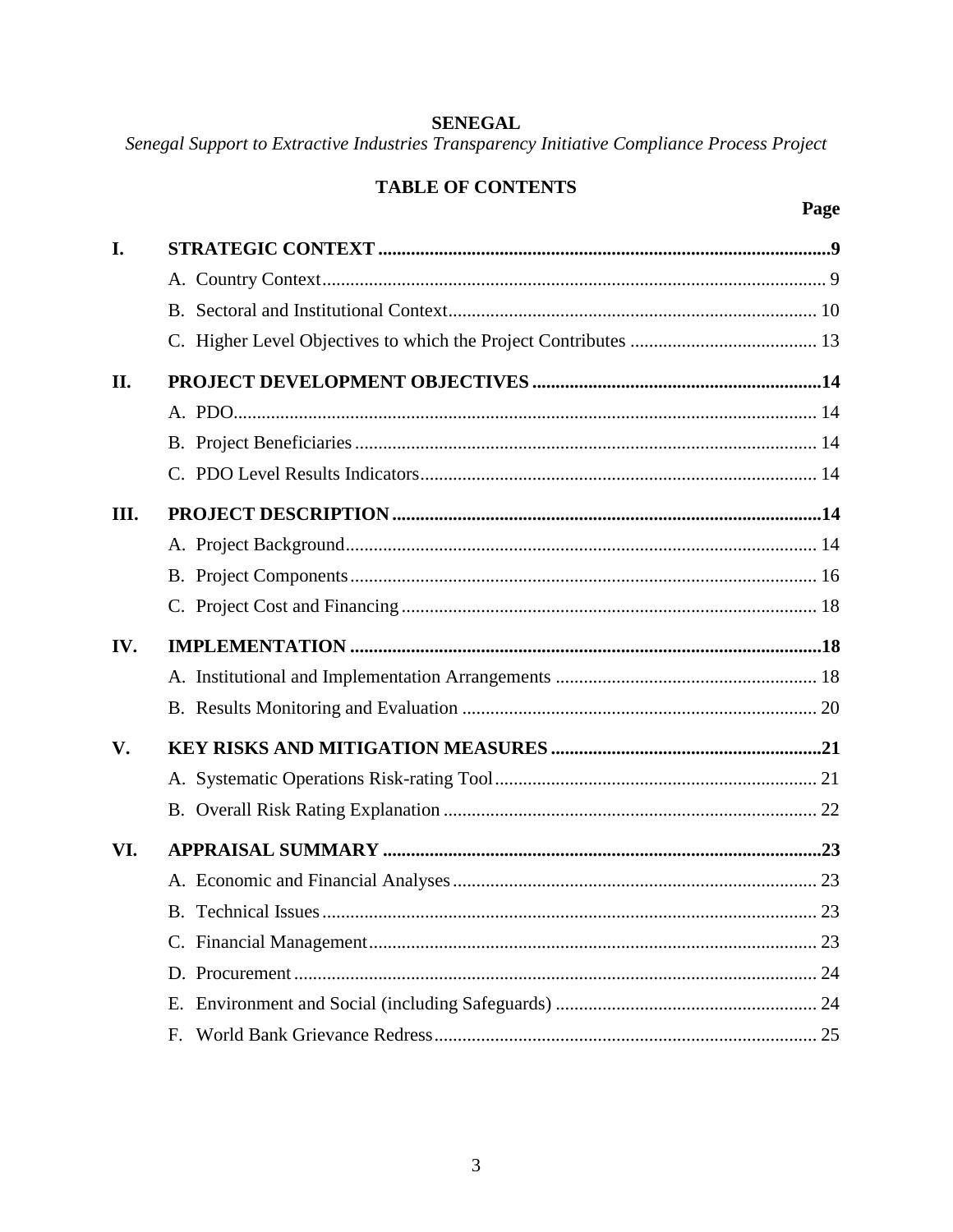# **SENEGAL**

Senegal Support to Extractive Industries Transparency Initiative Compliance Process Project

# **TABLE OF CONTENTS**

| I.  |    |  |
|-----|----|--|
|     |    |  |
|     |    |  |
|     |    |  |
| II. |    |  |
|     |    |  |
|     |    |  |
|     |    |  |
| Ш.  |    |  |
|     |    |  |
|     |    |  |
|     |    |  |
| IV. |    |  |
|     |    |  |
|     |    |  |
| V.  |    |  |
|     |    |  |
|     |    |  |
| VI. |    |  |
|     |    |  |
|     |    |  |
|     |    |  |
|     |    |  |
|     | Е. |  |
|     | F. |  |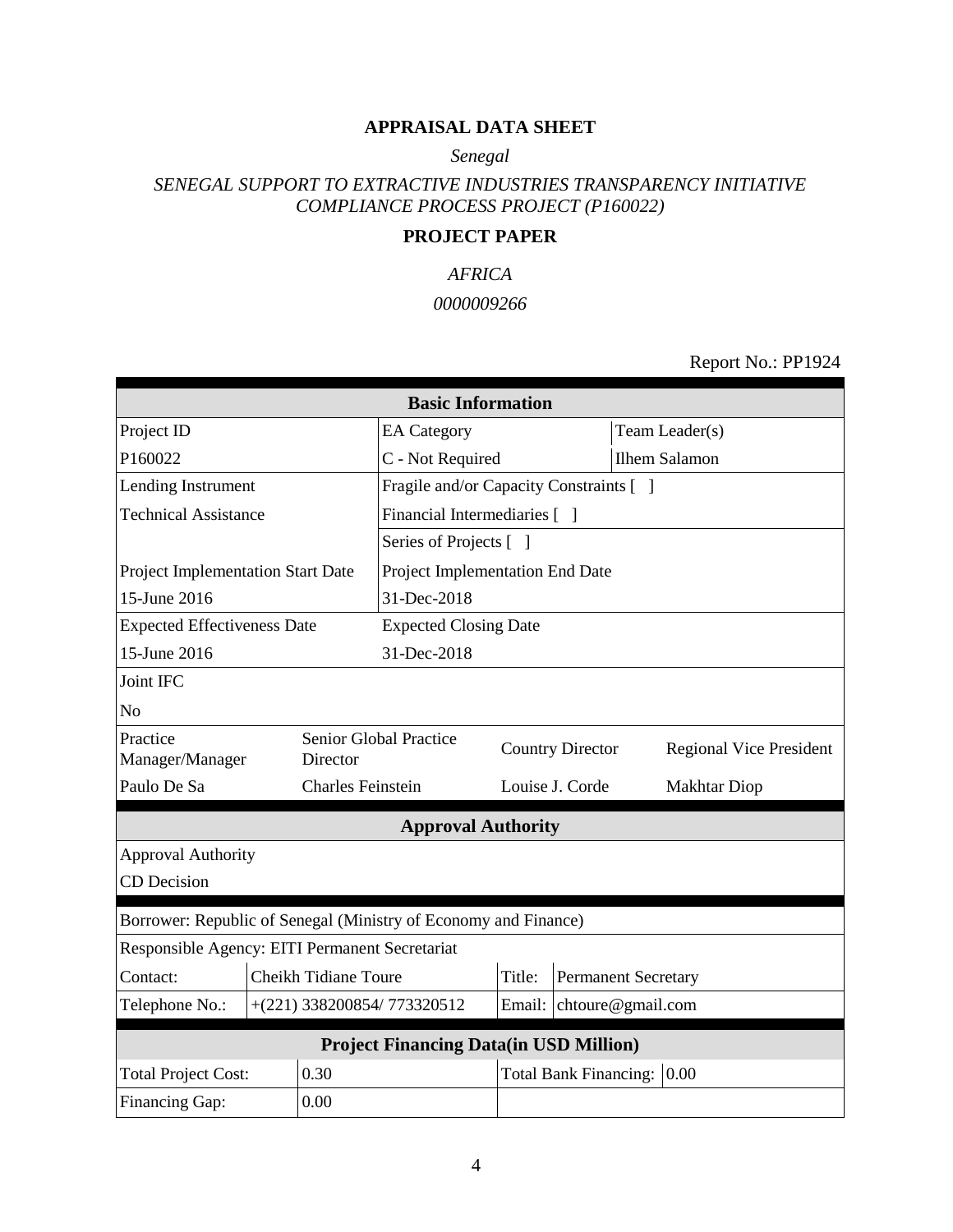#### **APPRAISAL DATA SHEET**

*Senegal*

# *SENEGAL SUPPORT TO EXTRACTIVE INDUSTRIES TRANSPARENCY INITIATIVE COMPLIANCE PROCESS PROJECT (P160022)*

#### **PROJECT PAPER**

# *AFRICA 0000009266*

Report No.: PP1924

| <b>Basic Information</b>                                        |                                               |                             |                                         |        |                              |                                |
|-----------------------------------------------------------------|-----------------------------------------------|-----------------------------|-----------------------------------------|--------|------------------------------|--------------------------------|
| Project ID                                                      |                                               |                             | <b>EA</b> Category                      |        |                              | Team Leader(s)                 |
| P160022                                                         |                                               |                             | C - Not Required                        |        |                              | <b>Ilhem Salamon</b>           |
| Lending Instrument                                              |                                               |                             | Fragile and/or Capacity Constraints [ ] |        |                              |                                |
| <b>Technical Assistance</b>                                     |                                               |                             | Financial Intermediaries [ ]            |        |                              |                                |
|                                                                 |                                               |                             | Series of Projects [ ]                  |        |                              |                                |
| Project Implementation Start Date                               |                                               |                             | Project Implementation End Date         |        |                              |                                |
| 15-June 2016                                                    |                                               |                             | 31-Dec-2018                             |        |                              |                                |
| <b>Expected Effectiveness Date</b>                              |                                               |                             | <b>Expected Closing Date</b>            |        |                              |                                |
| 15-June 2016                                                    |                                               |                             | 31-Dec-2018                             |        |                              |                                |
| Joint IFC                                                       |                                               |                             |                                         |        |                              |                                |
| N <sub>o</sub>                                                  |                                               |                             |                                         |        |                              |                                |
| Practice<br>Manager/Manager                                     |                                               | Director                    | Senior Global Practice                  |        | <b>Country Director</b>      | <b>Regional Vice President</b> |
| Paulo De Sa                                                     |                                               | <b>Charles Feinstein</b>    |                                         |        | Louise J. Corde              | Makhtar Diop                   |
|                                                                 |                                               |                             | <b>Approval Authority</b>               |        |                              |                                |
| <b>Approval Authority</b>                                       |                                               |                             |                                         |        |                              |                                |
| <b>CD</b> Decision                                              |                                               |                             |                                         |        |                              |                                |
| Borrower: Republic of Senegal (Ministry of Economy and Finance) |                                               |                             |                                         |        |                              |                                |
| Responsible Agency: EITI Permanent Secretariat                  |                                               |                             |                                         |        |                              |                                |
| Contact:                                                        |                                               | <b>Cheikh Tidiane Toure</b> |                                         | Title: |                              | <b>Permanent Secretary</b>     |
| Telephone No.:                                                  |                                               |                             | +(221) 338200854/773320512              |        |                              | Email: chtoure@gmail.com       |
|                                                                 | <b>Project Financing Data(in USD Million)</b> |                             |                                         |        |                              |                                |
| <b>Total Project Cost:</b>                                      |                                               | 0.30                        |                                         |        | <b>Total Bank Financing:</b> | 0.00                           |
| Financing Gap:<br>0.00                                          |                                               |                             |                                         |        |                              |                                |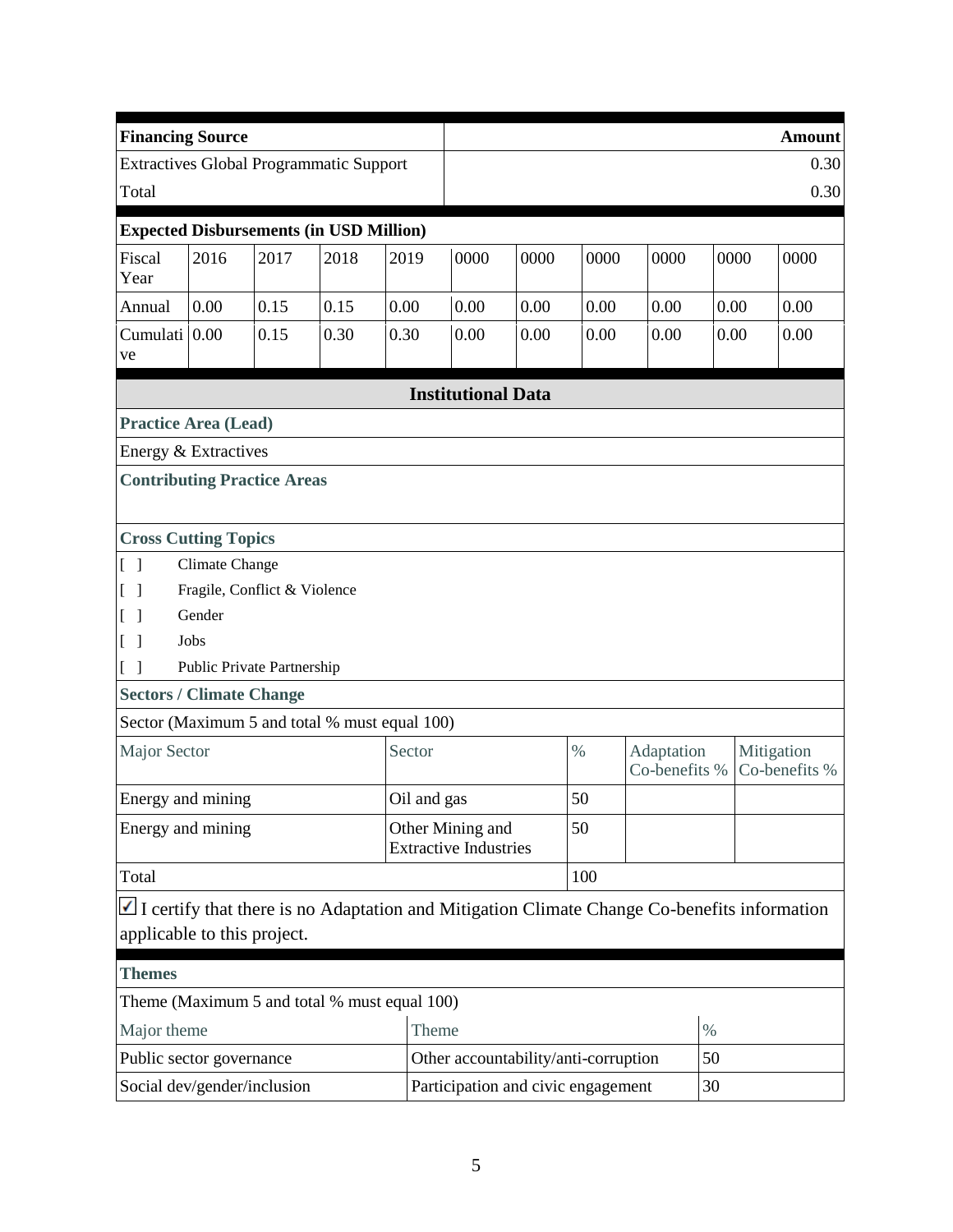| <b>Financing Source</b>                                              |                                                                         |      |      |             |                                                  |      |      |                                                                                                    |      |      | <b>Amount</b>               |
|----------------------------------------------------------------------|-------------------------------------------------------------------------|------|------|-------------|--------------------------------------------------|------|------|----------------------------------------------------------------------------------------------------|------|------|-----------------------------|
| <b>Extractives Global Programmatic Support</b>                       |                                                                         |      |      |             |                                                  |      |      |                                                                                                    |      |      | 0.30                        |
| Total                                                                |                                                                         |      |      |             |                                                  |      |      |                                                                                                    | 0.30 |      |                             |
| <b>Expected Disbursements (in USD Million)</b>                       |                                                                         |      |      |             |                                                  |      |      |                                                                                                    |      |      |                             |
| Fiscal<br>Year                                                       | 2016                                                                    | 2017 | 2018 | 2019        | 0000                                             | 0000 | 0000 | 0000                                                                                               |      | 0000 | 0000                        |
| Annual                                                               | 0.00                                                                    | 0.15 | 0.15 | 0.00        | 0.00                                             | 0.00 | 0.00 | 0.00                                                                                               | 0.00 |      | 0.00                        |
| Cumulati 0.00<br>ve                                                  |                                                                         | 0.15 | 0.30 | 0.30        | 0.00                                             | 0.00 | 0.00 | 0.00                                                                                               | 0.00 |      | 0.00                        |
|                                                                      |                                                                         |      |      |             | <b>Institutional Data</b>                        |      |      |                                                                                                    |      |      |                             |
| <b>Practice Area (Lead)</b>                                          |                                                                         |      |      |             |                                                  |      |      |                                                                                                    |      |      |                             |
| Energy & Extractives                                                 |                                                                         |      |      |             |                                                  |      |      |                                                                                                    |      |      |                             |
| <b>Contributing Practice Areas</b>                                   |                                                                         |      |      |             |                                                  |      |      |                                                                                                    |      |      |                             |
|                                                                      |                                                                         |      |      |             |                                                  |      |      |                                                                                                    |      |      |                             |
| <b>Cross Cutting Topics</b>                                          |                                                                         |      |      |             |                                                  |      |      |                                                                                                    |      |      |                             |
| Climate Change<br>$[\ ]$                                             |                                                                         |      |      |             |                                                  |      |      |                                                                                                    |      |      |                             |
| $\lceil \; \rceil$                                                   | Fragile, Conflict & Violence                                            |      |      |             |                                                  |      |      |                                                                                                    |      |      |                             |
| $\lceil \; \rceil$                                                   | Gender                                                                  |      |      |             |                                                  |      |      |                                                                                                    |      |      |                             |
| $\Box$                                                               | Jobs                                                                    |      |      |             |                                                  |      |      |                                                                                                    |      |      |                             |
| $[\ ]$                                                               | Public Private Partnership                                              |      |      |             |                                                  |      |      |                                                                                                    |      |      |                             |
| <b>Sectors / Climate Change</b>                                      |                                                                         |      |      |             |                                                  |      |      |                                                                                                    |      |      |                             |
| Sector (Maximum 5 and total % must equal 100)                        |                                                                         |      |      |             |                                                  |      |      |                                                                                                    |      |      |                             |
| <b>Major Sector</b>                                                  |                                                                         |      |      | Sector      |                                                  |      | $\%$ | Adaptation<br>Co-benefits %                                                                        |      |      | Mitigation<br>Co-benefits % |
| Energy and mining                                                    |                                                                         |      |      | Oil and gas |                                                  |      | 50   |                                                                                                    |      |      |                             |
| Energy and mining                                                    |                                                                         |      |      |             | Other Mining and<br><b>Extractive Industries</b> |      | 50   |                                                                                                    |      |      |                             |
| Total                                                                |                                                                         |      |      |             |                                                  |      | 100  |                                                                                                    |      |      |                             |
|                                                                      |                                                                         |      |      |             |                                                  |      |      | $\Box$ I certify that there is no Adaptation and Mitigation Climate Change Co-benefits information |      |      |                             |
| applicable to this project.                                          |                                                                         |      |      |             |                                                  |      |      |                                                                                                    |      |      |                             |
| <b>Themes</b>                                                        |                                                                         |      |      |             |                                                  |      |      |                                                                                                    |      |      |                             |
|                                                                      |                                                                         |      |      |             |                                                  |      |      |                                                                                                    |      |      |                             |
| Theme (Maximum 5 and total % must equal 100)<br>Major theme<br>Theme |                                                                         |      |      |             |                                                  |      | $\%$ |                                                                                                    |      |      |                             |
| Public sector governance                                             |                                                                         |      |      |             | Other accountability/anti-corruption             |      |      |                                                                                                    | 50   |      |                             |
|                                                                      | Social dev/gender/inclusion<br>Participation and civic engagement<br>30 |      |      |             |                                                  |      |      |                                                                                                    |      |      |                             |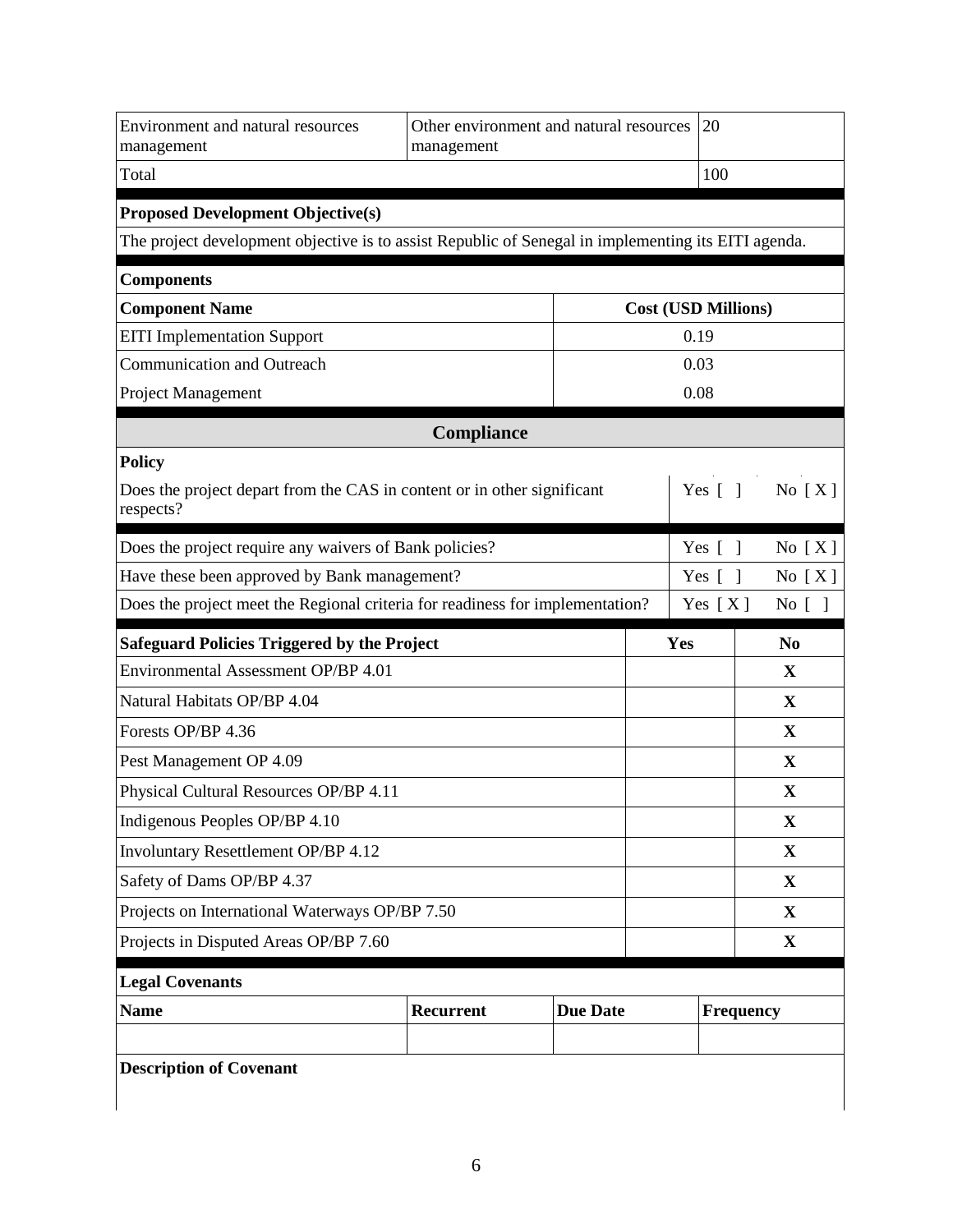| Environment and natural resources<br>management                                                     | management | Other environment and natural resources | 20                         |                |
|-----------------------------------------------------------------------------------------------------|------------|-----------------------------------------|----------------------------|----------------|
| Total                                                                                               |            |                                         | 100                        |                |
| <b>Proposed Development Objective(s)</b>                                                            |            |                                         |                            |                |
| The project development objective is to assist Republic of Senegal in implementing its EITI agenda. |            |                                         |                            |                |
| <b>Components</b>                                                                                   |            |                                         |                            |                |
| <b>Component Name</b>                                                                               |            |                                         | <b>Cost (USD Millions)</b> |                |
| <b>EITI</b> Implementation Support                                                                  |            |                                         | 0.19                       |                |
| <b>Communication and Outreach</b>                                                                   |            |                                         | 0.03                       |                |
| Project Management                                                                                  |            |                                         | 0.08                       |                |
|                                                                                                     | Compliance |                                         |                            |                |
| <b>Policy</b>                                                                                       |            |                                         |                            |                |
| Does the project depart from the CAS in content or in other significant<br>respects?                |            |                                         | Yes $[$ $]$                | No $[X]$       |
| Does the project require any waivers of Bank policies?                                              |            |                                         | Yes $\lceil \; \rceil$     | No $[X]$       |
| Have these been approved by Bank management?                                                        |            |                                         | Yes $\lceil$<br>- 1        | No $[X]$       |
| Does the project meet the Regional criteria for readiness for implementation?<br>Yes $[X]$          |            |                                         |                            |                |
|                                                                                                     |            |                                         |                            | No [ ]         |
| <b>Safeguard Policies Triggered by the Project</b>                                                  |            |                                         | Yes                        | N <sub>0</sub> |
| Environmental Assessment OP/BP 4.01                                                                 |            |                                         |                            | X              |
| Natural Habitats OP/BP 4.04                                                                         |            |                                         |                            | X              |
| Forests OP/BP 4.36                                                                                  |            |                                         |                            | X              |
| Pest Management OP 4.09                                                                             |            |                                         |                            | X              |
| Physical Cultural Resources OP/BP 4.11                                                              |            |                                         |                            | X              |
| Indigenous Peoples OP/BP 4.10                                                                       |            |                                         |                            | $\mathbf X$    |
| <b>Involuntary Resettlement OP/BP 4.12</b>                                                          |            |                                         |                            | X              |
| Safety of Dams OP/BP 4.37                                                                           |            |                                         |                            | $\mathbf{X}$   |
| Projects on International Waterways OP/BP 7.50                                                      |            |                                         |                            | $\mathbf{X}$   |
| Projects in Disputed Areas OP/BP 7.60                                                               |            |                                         |                            | X              |
| <b>Legal Covenants</b>                                                                              |            |                                         |                            |                |
| <b>Name</b>                                                                                         | Recurrent  | <b>Due Date</b>                         | <b>Frequency</b>           |                |
|                                                                                                     |            |                                         |                            |                |
| <b>Description of Covenant</b>                                                                      |            |                                         |                            |                |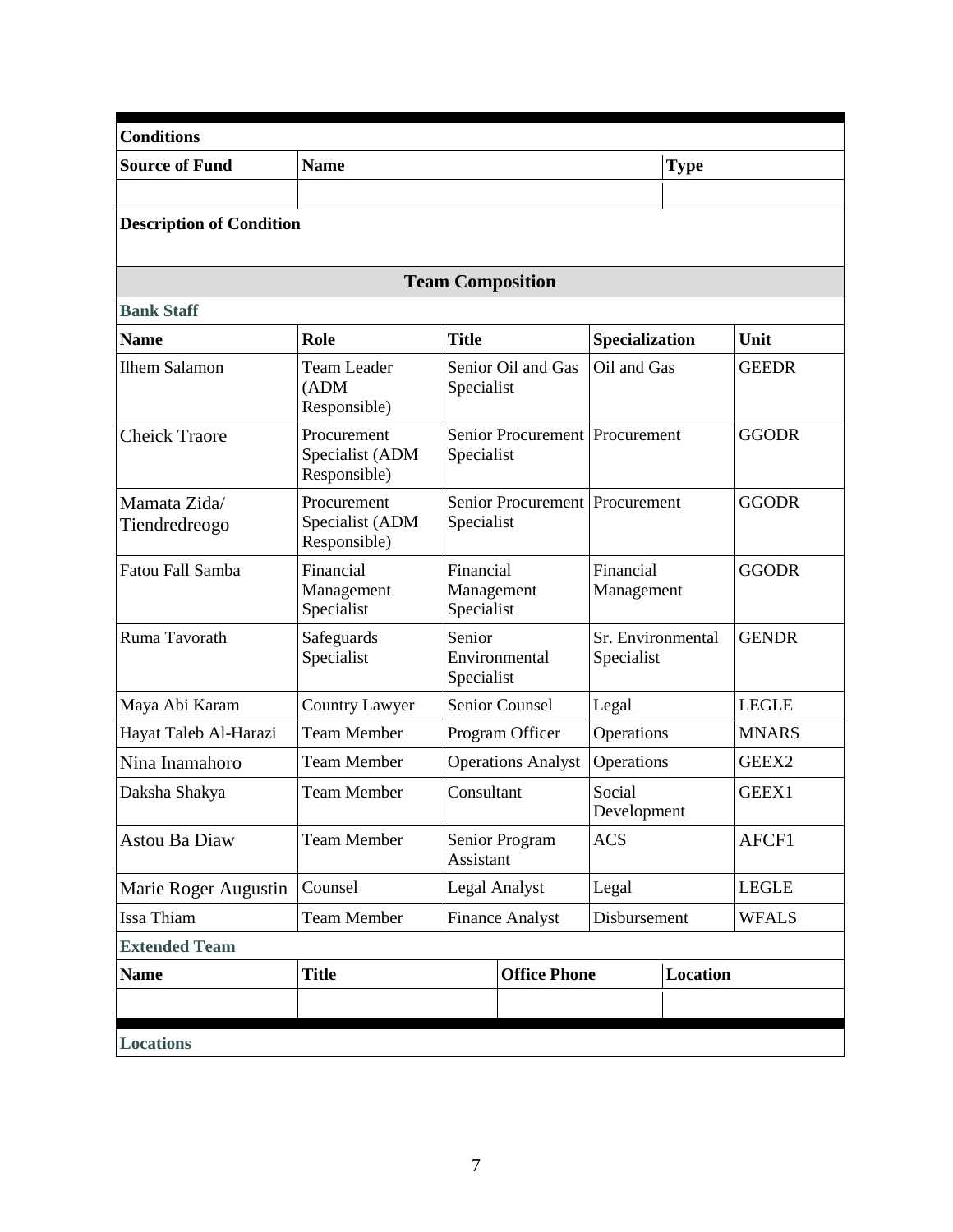| <b>Conditions</b>               |                                                |                                       |                                           |                                 |                 |              |
|---------------------------------|------------------------------------------------|---------------------------------------|-------------------------------------------|---------------------------------|-----------------|--------------|
| <b>Source of Fund</b>           | <b>Name</b>                                    |                                       |                                           |                                 | <b>Type</b>     |              |
|                                 |                                                |                                       |                                           |                                 |                 |              |
| <b>Description of Condition</b> |                                                |                                       |                                           |                                 |                 |              |
|                                 |                                                | <b>Team Composition</b>               |                                           |                                 |                 |              |
| <b>Bank Staff</b>               |                                                |                                       |                                           |                                 |                 |              |
| <b>Name</b>                     | Role                                           | <b>Title</b>                          |                                           | Specialization                  |                 | Unit         |
| <b>Ilhem Salamon</b>            | <b>Team Leader</b><br>(ADM)<br>Responsible)    | Specialist                            | Senior Oil and Gas                        | Oil and Gas                     |                 | <b>GEEDR</b> |
| <b>Cheick Traore</b>            | Procurement<br>Specialist (ADM<br>Responsible) | Specialist                            | Senior Procurement Procurement            |                                 |                 | <b>GGODR</b> |
| Mamata Zida/<br>Tiendredreogo   | Procurement<br>Specialist (ADM<br>Responsible) | Specialist                            | Senior Procurement Procurement            |                                 |                 | <b>GGODR</b> |
| Fatou Fall Samba                | Financial<br>Management<br>Specialist          | Financial<br>Management<br>Specialist |                                           | Financial<br>Management         |                 | <b>GGODR</b> |
| Ruma Tavorath                   | Safeguards<br>Specialist                       | Senior<br>Specialist                  | Environmental                             | Sr. Environmental<br>Specialist |                 | <b>GENDR</b> |
| Maya Abi Karam                  | Country Lawyer                                 |                                       | <b>Senior Counsel</b>                     | Legal                           |                 | <b>LEGLE</b> |
| Hayat Taleb Al-Harazi           | <b>Team Member</b>                             |                                       | Program Officer                           | Operations                      |                 | <b>MNARS</b> |
| Nina Inamahoro                  | <b>Team Member</b>                             |                                       | <b>Operations Analyst</b>                 | Operations                      |                 | GEEX2        |
| Daksha Shakya                   | <b>Team Member</b>                             | Consultant                            |                                           | Social<br>Development           |                 | GEEX1        |
| <b>Astou Ba Diaw</b>            | <b>Team Member</b>                             |                                       | Senior Program<br><b>ACS</b><br>Assistant |                                 |                 | AFCF1        |
| Marie Roger Augustin            | Counsel                                        |                                       | <b>Legal Analyst</b>                      | Legal                           |                 | <b>LEGLE</b> |
| Issa Thiam                      | <b>Team Member</b>                             |                                       | <b>Finance Analyst</b>                    | Disbursement                    |                 | <b>WFALS</b> |
| <b>Extended Team</b>            |                                                |                                       |                                           |                                 |                 |              |
| <b>Name</b>                     | <b>Title</b>                                   |                                       | <b>Office Phone</b>                       |                                 | <b>Location</b> |              |
|                                 |                                                |                                       |                                           |                                 |                 |              |
| <b>Locations</b>                |                                                |                                       |                                           |                                 |                 |              |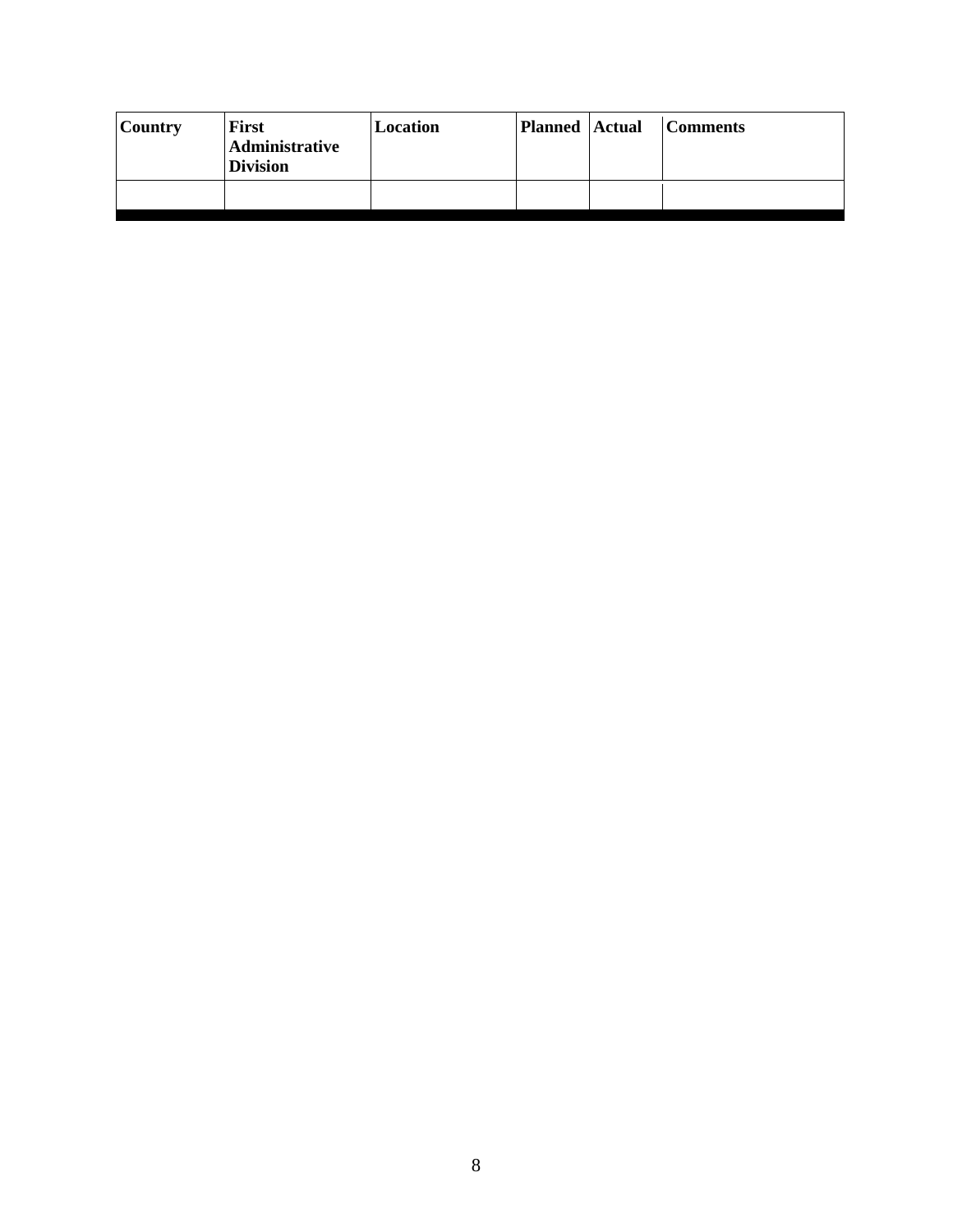| <b>Country</b> | First<br>Administrative<br><b>Division</b> | Location | <b>Planned Actual</b> | <b>Comments</b> |
|----------------|--------------------------------------------|----------|-----------------------|-----------------|
|                |                                            |          |                       |                 |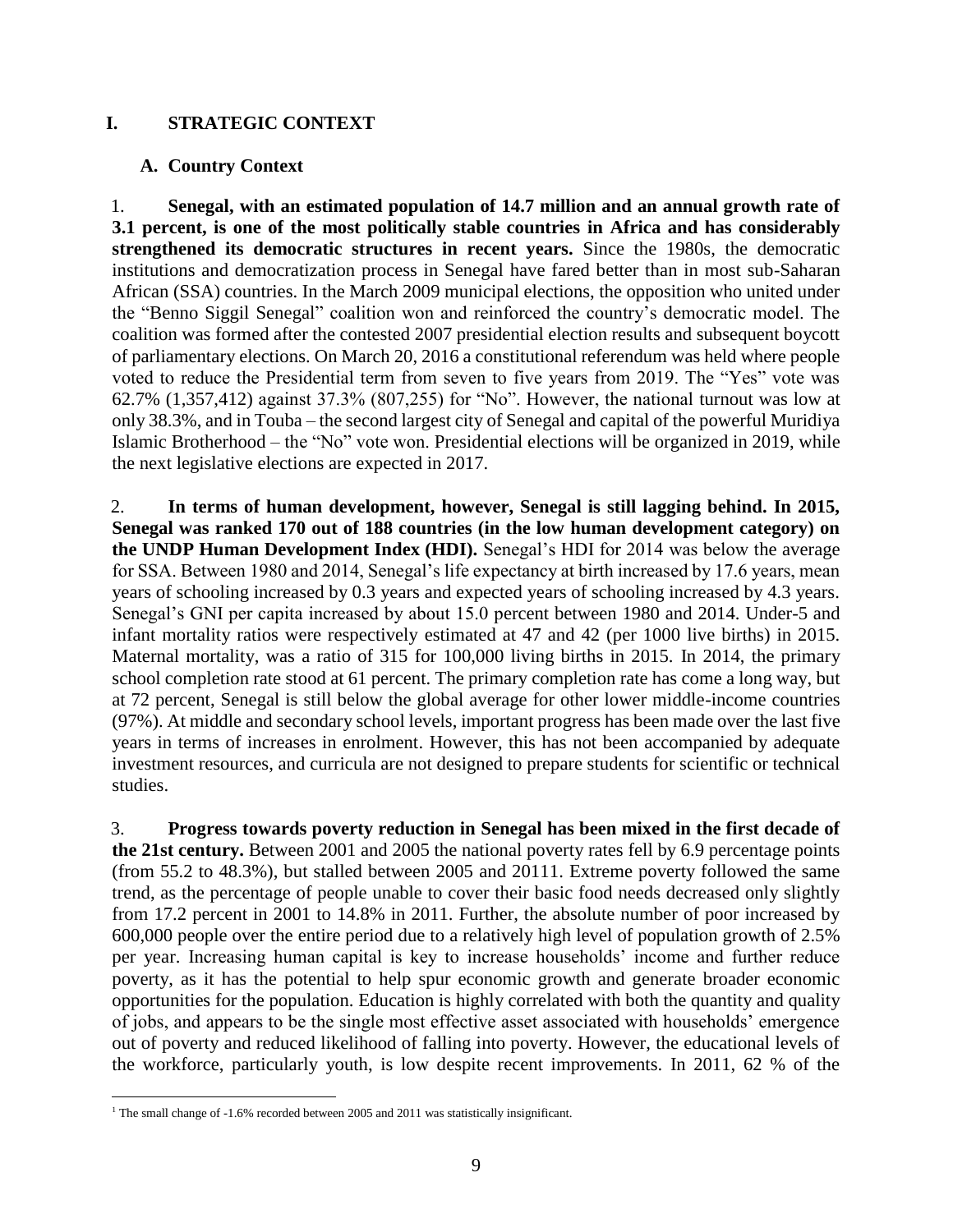#### **I. STRATEGIC CONTEXT**

#### **A. Country Context**

1. **Senegal, with an estimated population of 14.7 million and an annual growth rate of 3.1 percent, is one of the most politically stable countries in Africa and has considerably strengthened its democratic structures in recent years.** Since the 1980s, the democratic institutions and democratization process in Senegal have fared better than in most sub-Saharan African (SSA) countries. In the March 2009 municipal elections, the opposition who united under the "Benno Siggil Senegal" coalition won and reinforced the country's democratic model. The coalition was formed after the contested 2007 presidential election results and subsequent boycott of parliamentary elections. On March 20, 2016 a constitutional referendum was held where people voted to reduce the Presidential term from seven to five years from 2019. The "Yes" vote was 62.7% (1,357,412) against 37.3% (807,255) for "No". However, the national turnout was low at only 38.3%, and in Touba – the second largest city of Senegal and capital of the powerful Muridiya Islamic Brotherhood – the "No" vote won. Presidential elections will be organized in 2019, while the next legislative elections are expected in 2017.

2. **In terms of human development, however, Senegal is still lagging behind. In 2015, Senegal was ranked 170 out of 188 countries (in the low human development category) on the UNDP Human Development Index (HDI).** Senegal's HDI for 2014 was below the average for SSA. Between 1980 and 2014, Senegal's life expectancy at birth increased by 17.6 years, mean years of schooling increased by 0.3 years and expected years of schooling increased by 4.3 years. Senegal's GNI per capita increased by about 15.0 percent between 1980 and 2014. Under-5 and infant mortality ratios were respectively estimated at 47 and 42 (per 1000 live births) in 2015. Maternal mortality, was a ratio of 315 for 100,000 living births in 2015. In 2014, the primary school completion rate stood at 61 percent. The primary completion rate has come a long way, but at 72 percent, Senegal is still below the global average for other lower middle-income countries (97%). At middle and secondary school levels, important progress has been made over the last five years in terms of increases in enrolment. However, this has not been accompanied by adequate investment resources, and curricula are not designed to prepare students for scientific or technical studies.

3. **Progress towards poverty reduction in Senegal has been mixed in the first decade of the 21st century.** Between 2001 and 2005 the national poverty rates fell by 6.9 percentage points (from 55.2 to 48.3%), but stalled between 2005 and 20111. Extreme poverty followed the same trend, as the percentage of people unable to cover their basic food needs decreased only slightly from 17.2 percent in 2001 to 14.8% in 2011. Further, the absolute number of poor increased by 600,000 people over the entire period due to a relatively high level of population growth of 2.5% per year. Increasing human capital is key to increase households' income and further reduce poverty, as it has the potential to help spur economic growth and generate broader economic opportunities for the population. Education is highly correlated with both the quantity and quality of jobs, and appears to be the single most effective asset associated with households' emergence out of poverty and reduced likelihood of falling into poverty. However, the educational levels of the workforce, particularly youth, is low despite recent improvements. In 2011, 62 % of the

 $\overline{a}$ <sup>1</sup> The small change of -1.6% recorded between 2005 and 2011 was statistically insignificant.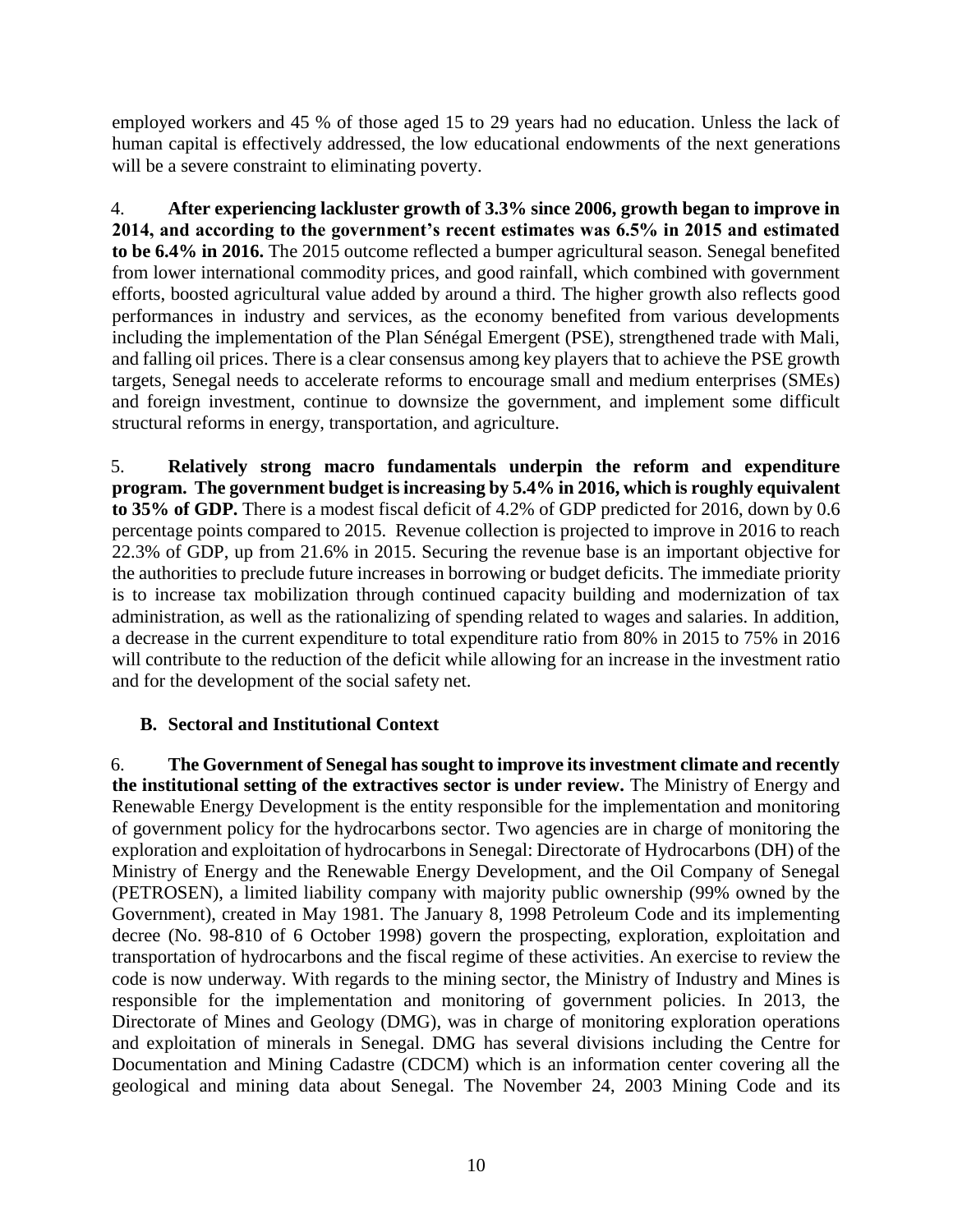employed workers and 45 % of those aged 15 to 29 years had no education. Unless the lack of human capital is effectively addressed, the low educational endowments of the next generations will be a severe constraint to eliminating poverty.

4. **After experiencing lackluster growth of 3.3% since 2006, growth began to improve in 2014, and according to the government's recent estimates was 6.5% in 2015 and estimated to be 6.4% in 2016.** The 2015 outcome reflected a bumper agricultural season. Senegal benefited from lower international commodity prices, and good rainfall, which combined with government efforts, boosted agricultural value added by around a third. The higher growth also reflects good performances in industry and services, as the economy benefited from various developments including the implementation of the Plan Sénégal Emergent (PSE), strengthened trade with Mali, and falling oil prices. There is a clear consensus among key players that to achieve the PSE growth targets, Senegal needs to accelerate reforms to encourage small and medium enterprises (SMEs) and foreign investment, continue to downsize the government, and implement some difficult structural reforms in energy, transportation, and agriculture.

5. **Relatively strong macro fundamentals underpin the reform and expenditure program. The government budget is increasing by 5.4% in 2016, which is roughly equivalent to 35% of GDP.** There is a modest fiscal deficit of 4.2% of GDP predicted for 2016, down by 0.6 percentage points compared to 2015. Revenue collection is projected to improve in 2016 to reach 22.3% of GDP, up from 21.6% in 2015. Securing the revenue base is an important objective for the authorities to preclude future increases in borrowing or budget deficits. The immediate priority is to increase tax mobilization through continued capacity building and modernization of tax administration, as well as the rationalizing of spending related to wages and salaries. In addition, a decrease in the current expenditure to total expenditure ratio from 80% in 2015 to 75% in 2016 will contribute to the reduction of the deficit while allowing for an increase in the investment ratio and for the development of the social safety net.

#### **B. Sectoral and Institutional Context**

6. **The Government of Senegal has sought to improve its investment climate and recently the institutional setting of the extractives sector is under review.** The Ministry of Energy and Renewable Energy Development is the entity responsible for the implementation and monitoring of government policy for the hydrocarbons sector. Two agencies are in charge of monitoring the exploration and exploitation of hydrocarbons in Senegal: Directorate of Hydrocarbons (DH) of the Ministry of Energy and the Renewable Energy Development, and the Oil Company of Senegal (PETROSEN), a limited liability company with majority public ownership (99% owned by the Government), created in May 1981. The January 8, 1998 Petroleum Code and its implementing decree (No. 98-810 of 6 October 1998) govern the prospecting, exploration, exploitation and transportation of hydrocarbons and the fiscal regime of these activities. An exercise to review the code is now underway. With regards to the mining sector, the Ministry of Industry and Mines is responsible for the implementation and monitoring of government policies. In 2013, the Directorate of Mines and Geology (DMG), was in charge of monitoring exploration operations and exploitation of minerals in Senegal. DMG has several divisions including the Centre for Documentation and Mining Cadastre (CDCM) which is an information center covering all the geological and mining data about Senegal. The November 24, 2003 Mining Code and its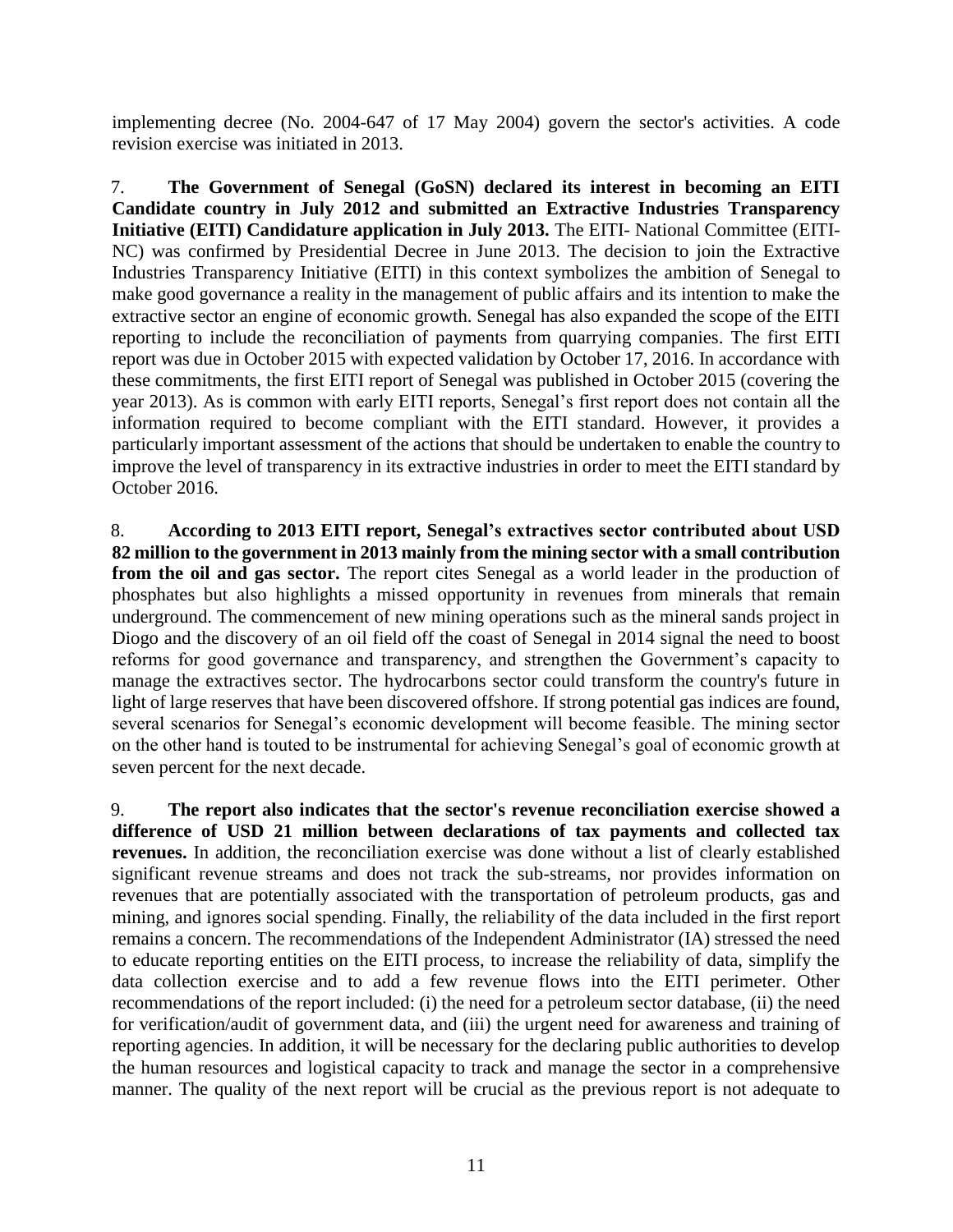implementing decree (No. 2004-647 of 17 May 2004) govern the sector's activities. A code revision exercise was initiated in 2013.

7. **The Government of Senegal (GoSN) declared its interest in becoming an EITI Candidate country in July 2012 and submitted an Extractive Industries Transparency Initiative (EITI) Candidature application in July 2013.** The EITI- National Committee (EITI-NC) was confirmed by Presidential Decree in June 2013. The decision to join the Extractive Industries Transparency Initiative (EITI) in this context symbolizes the ambition of Senegal to make good governance a reality in the management of public affairs and its intention to make the extractive sector an engine of economic growth. Senegal has also expanded the scope of the EITI reporting to include the reconciliation of payments from quarrying companies. The first EITI report was due in October 2015 with expected validation by October 17, 2016. In accordance with these commitments, the first EITI report of Senegal was published in October 2015 (covering the year 2013). As is common with early EITI reports, Senegal's first report does not contain all the information required to become compliant with the EITI standard. However, it provides a particularly important assessment of the actions that should be undertaken to enable the country to improve the level of transparency in its extractive industries in order to meet the EITI standard by October 2016.

8. **According to 2013 EITI report, [Senegal'](https://eiti.org/senegal)s extractives sector contributed about USD 82 million to the government in 2013 mainly from the mining sector with a small contribution from the oil and gas sector.** The report cites Senegal as a world leader in the production of phosphates but also highlights a missed opportunity in revenues from [minerals](https://eiti.org/glossary#Minerals) that remain underground. The commencement of new mining operations such as the mineral sands project in Diogo and the discovery of an oil field off the coast of Senegal in 2014 signal the need to boost reforms for good governance and transparency, and strengthen the Government's capacity to manage the extractives sector. The hydrocarbons sector could transform the country's future in light of large reserves that have been discovered offshore. If strong potential gas indices are found, several scenarios for Senegal's economic development will become feasible. The mining sector on the other hand is touted to be instrumental for achieving Senegal's goal of economic growth at seven percent for the next decade.

9. **The report also indicates that the sector's revenue reconciliation exercise showed a difference of USD 21 million between declarations of tax payments and collected tax revenues.** In addition, the reconciliation exercise was done without a list of clearly established significant revenue streams and does not track the sub-streams, nor provides information on revenues that are potentially associated with the transportation of petroleum products, gas and mining, and ignores social spending. Finally, the reliability of the data included in the first report remains a concern. The recommendations of the Independent Administrator (IA) stressed the need to educate reporting entities on the EITI process, to increase the reliability of data, simplify the data collection exercise and to add a few revenue flows into the EITI perimeter. Other recommendations of the report included: (i) the need for a petroleum sector database, (ii) the need for verification/audit of government data, and (iii) the urgent need for awareness and training of reporting agencies. In addition, it will be necessary for the declaring public authorities to develop the human resources and logistical capacity to track and manage the sector in a comprehensive manner. The quality of the next report will be crucial as the previous report is not adequate to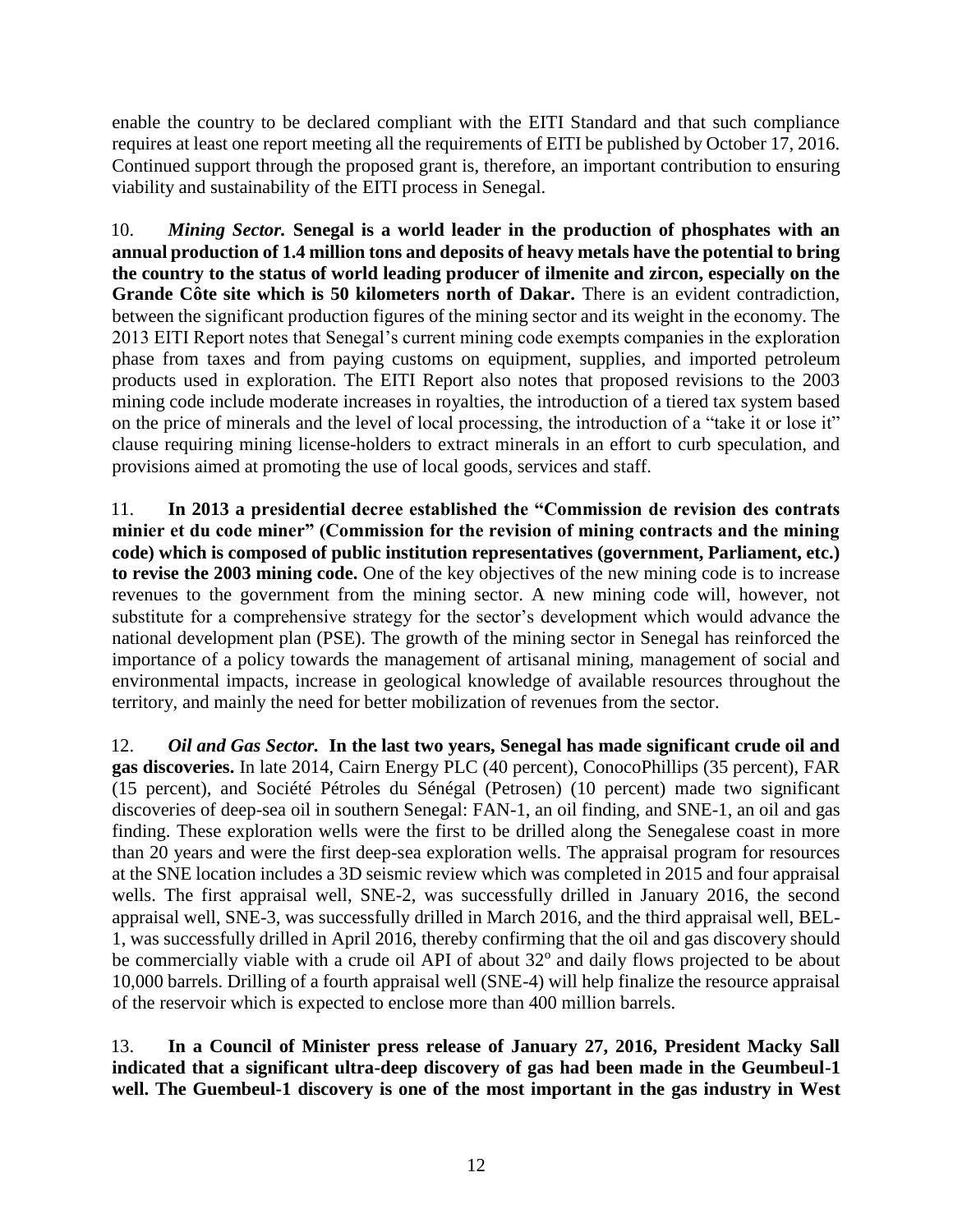enable the country to be declared compliant with the EITI Standard and that such compliance requires at least one report meeting all the requirements of EITI be published by October 17, 2016. Continued support through the proposed grant is, therefore, an important contribution to ensuring viability and sustainability of the EITI process in Senegal.

10. *Mining Sector.* **Senegal is a world leader in the production of phosphates with an annual production of 1.4 million tons and deposits of heavy metals have the potential to bring the country to the status of world leading producer of ilmenite and zircon, especially on the Grande Côte site which is 50 kilometers north of Dakar.** There is an evident contradiction, between the significant production figures of the mining sector and its weight in the economy. The 2013 EITI Report notes that Senegal's current mining code exempts companies in the exploration phase from taxes and from paying customs on equipment, supplies, and imported petroleum products used in exploration. The EITI Report also notes that proposed revisions to the 2003 mining code include moderate increases in royalties, the introduction of a tiered tax system based on the price of minerals and the level of local processing, the introduction of a "take it or lose it" clause requiring mining license-holders to extract minerals in an effort to curb speculation, and provisions aimed at promoting the use of local goods, services and staff.

11. **In 2013 a presidential decree established the "Commission de revision des contrats minier et du code miner" (Commission for the revision of mining contracts and the mining code) which is composed of public institution representatives (government, Parliament, etc.) to revise the 2003 mining code.** One of the key objectives of the new mining code is to increase revenues to the government from the mining sector. A new mining code will, however, not substitute for a comprehensive strategy for the sector's development which would advance the national development plan (PSE). The growth of the mining sector in Senegal has reinforced the importance of a policy towards the management of artisanal mining, management of social and environmental impacts, increase in geological knowledge of available resources throughout the territory, and mainly the need for better mobilization of revenues from the sector.

12. *Oil and Gas Sector.* **In the last two years, Senegal has made significant crude oil and gas discoveries.** In late 2014, Cairn Energy PLC (40 percent), ConocoPhillips (35 percent), FAR (15 percent), and Société Pétroles du Sénégal (Petrosen) (10 percent) made two significant discoveries of deep-sea oil in southern Senegal: FAN-1, an oil finding, and SNE-1, an oil and gas finding. These exploration wells were the first to be drilled along the Senegalese coast in more than 20 years and were the first deep-sea exploration wells. The appraisal program for resources at the SNE location includes a 3D seismic review which was completed in 2015 and four appraisal wells. The first appraisal well, SNE-2, was successfully drilled in January 2016, the second appraisal well, SNE-3, was successfully drilled in March 2016, and the third appraisal well, BEL-1, was successfully drilled in April 2016, thereby confirming that the oil and gas discovery should be commercially viable with a crude oil API of about 32° and daily flows projected to be about 10,000 barrels. Drilling of a fourth appraisal well (SNE-4) will help finalize the resource appraisal of the reservoir which is expected to enclose more than 400 million barrels.

13. **In a Council of Minister press release of January 27, 2016, President Macky Sall indicated that a significant ultra-deep discovery of gas had been made in the Geumbeul-1 well. The Guembeul-1 discovery is one of the most important in the gas industry in West**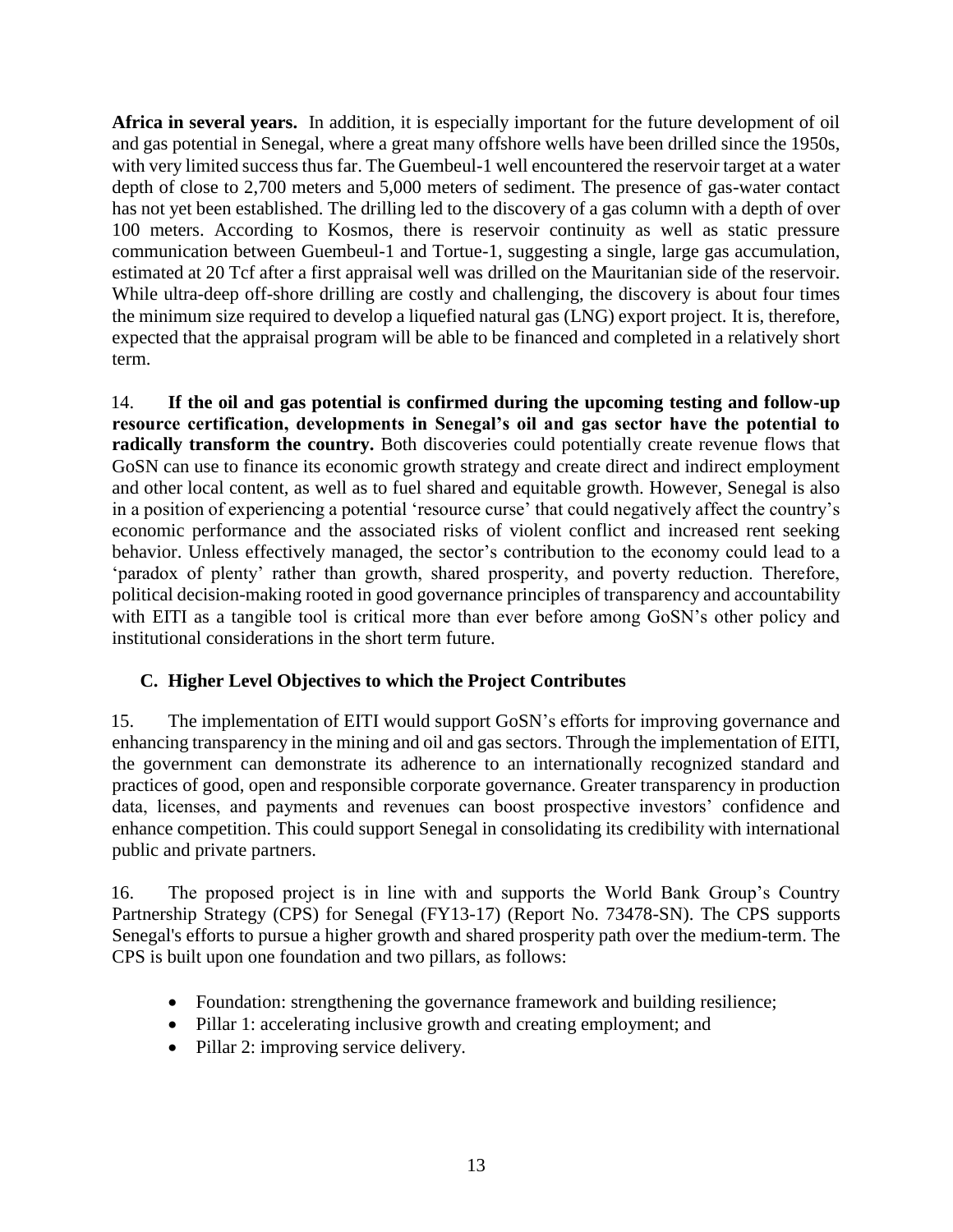**Africa in several years.** In addition, it is especially important for the future development of oil and gas potential in Senegal, where a great many offshore wells have been drilled since the 1950s, with very limited success thus far. The Guembeul-1 well encountered the reservoir target at a water depth of close to 2,700 meters and 5,000 meters of sediment. The presence of gas-water contact has not yet been established. The drilling led to the discovery of a gas column with a depth of over 100 meters. According to Kosmos, there is reservoir continuity as well as static pressure communication between Guembeul-1 and Tortue-1, suggesting a single, large gas accumulation, estimated at 20 Tcf after a first appraisal well was drilled on the Mauritanian side of the reservoir. While ultra-deep of f-shore drilling are costly and challenging, the discovery is about four times the minimum size required to develop a liquefied natural gas (LNG) export project. It is, therefore, expected that the appraisal program will be able to be financed and completed in a relatively short term.

14. **If the oil and gas potential is confirmed during the upcoming testing and follow-up resource certification, developments in Senegal's oil and gas sector have the potential to**  radically transform the country. Both discoveries could potentially create revenue flows that GoSN can use to finance its economic growth strategy and create direct and indirect employment and other local content, as well as to fuel shared and equitable growth. However, Senegal is also in a position of experiencing a potential 'resource curse' that could negatively affect the country's economic performance and the associated risks of violent conflict and increased rent seeking behavior. Unless effectively managed, the sector's contribution to the economy could lead to a 'paradox of plenty' rather than growth, shared prosperity, and poverty reduction. Therefore, political decision-making rooted in good governance principles of transparency and accountability with EITI as a tangible tool is critical more than ever before among GoSN's other policy and institutional considerations in the short term future.

## **C. Higher Level Objectives to which the Project Contributes**

15. The implementation of EITI would support GoSN's efforts for improving governance and enhancing transparency in the mining and oil and gas sectors. Through the implementation of EITI, the government can demonstrate its adherence to an internationally recognized standard and practices of good, open and responsible corporate governance. Greater transparency in production data, licenses, and payments and revenues can boost prospective investors' confidence and enhance competition. This could support Senegal in consolidating its credibility with international public and private partners.

16. The proposed project is in line with and supports the World Bank Group's Country Partnership Strategy (CPS) for Senegal (FY13-17) (Report No. 73478-SN). The CPS supports Senegal's efforts to pursue a higher growth and shared prosperity path over the medium-term. The CPS is built upon one foundation and two pillars, as follows:

- Foundation: strengthening the governance framework and building resilience;
- Pillar 1: accelerating inclusive growth and creating employment; and
- Pillar 2: improving service delivery.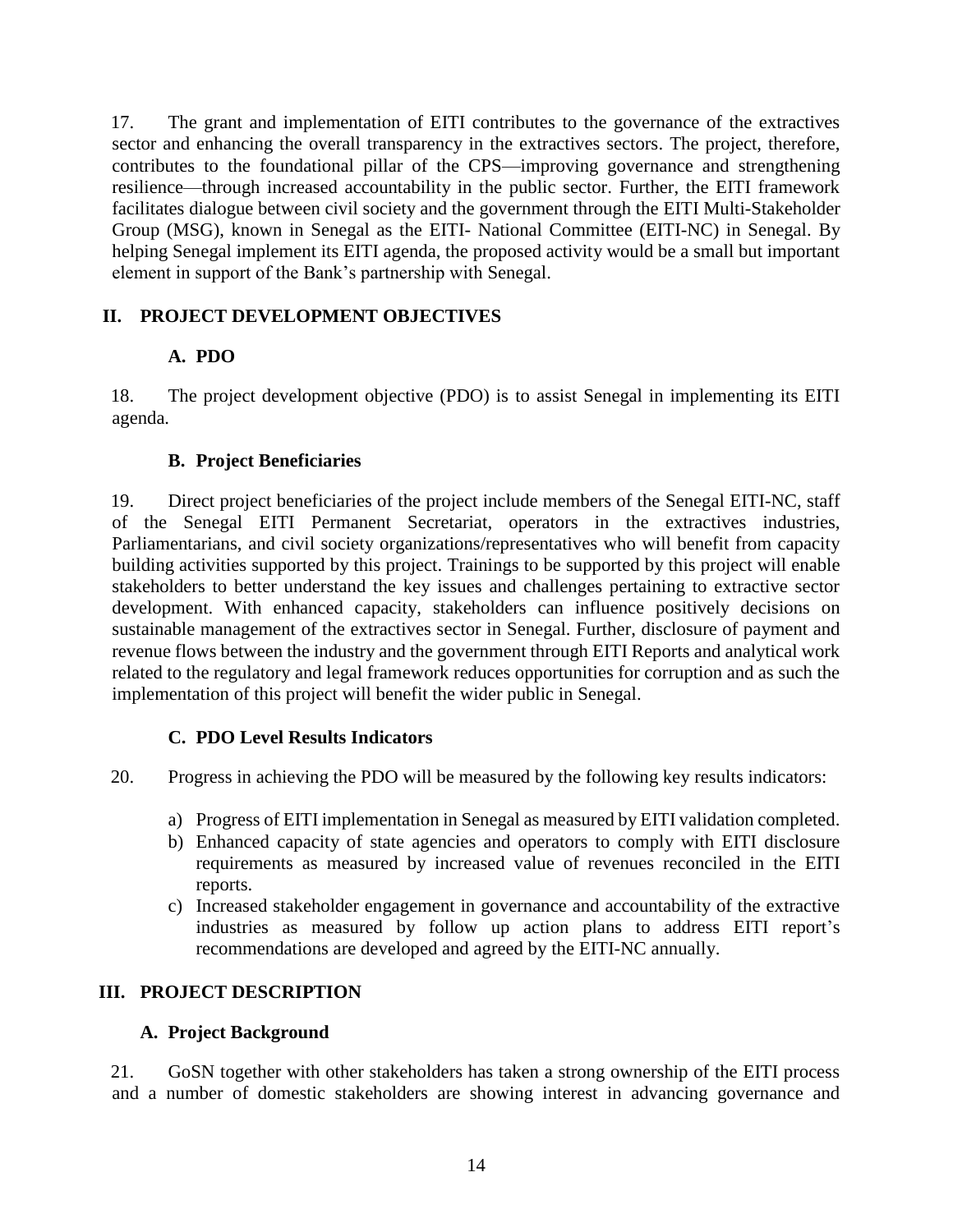17. The grant and implementation of EITI contributes to the governance of the extractives sector and enhancing the overall transparency in the extractives sectors. The project, therefore, contributes to the foundational pillar of the CPS—improving governance and strengthening resilience—through increased accountability in the public sector. Further, the EITI framework facilitates dialogue between civil society and the government through the EITI Multi-Stakeholder Group (MSG), known in Senegal as the EITI- National Committee (EITI-NC) in Senegal. By helping Senegal implement its EITI agenda, the proposed activity would be a small but important element in support of the Bank's partnership with Senegal.

#### **II. PROJECT DEVELOPMENT OBJECTIVES**

#### **A. PDO**

18. The project development objective (PDO) is to assist Senegal in implementing its EITI agenda.

#### **B. Project Beneficiaries**

19. Direct project beneficiaries of the project include members of the Senegal EITI-NC, staff of the Senegal EITI Permanent Secretariat, operators in the extractives industries, Parliamentarians, and civil society organizations/representatives who will benefit from capacity building activities supported by this project. Trainings to be supported by this project will enable stakeholders to better understand the key issues and challenges pertaining to extractive sector development. With enhanced capacity, stakeholders can influence positively decisions on sustainable management of the extractives sector in Senegal. Further, disclosure of payment and revenue flows between the industry and the government through EITI Reports and analytical work related to the regulatory and legal framework reduces opportunities for corruption and as such the implementation of this project will benefit the wider public in Senegal.

#### **C. PDO Level Results Indicators**

20. Progress in achieving the PDO will be measured by the following key results indicators:

- a) Progress of EITI implementation in Senegal as measured by EITI validation completed.
- b) Enhanced capacity of state agencies and operators to comply with EITI disclosure requirements as measured by increased value of revenues reconciled in the EITI reports.
- c) Increased stakeholder engagement in governance and accountability of the extractive industries as measured by follow up action plans to address EITI report's recommendations are developed and agreed by the EITI-NC annually.

## **III. PROJECT DESCRIPTION**

#### **A. Project Background**

21. GoSN together with other stakeholders has taken a strong ownership of the EITI process and a number of domestic stakeholders are showing interest in advancing governance and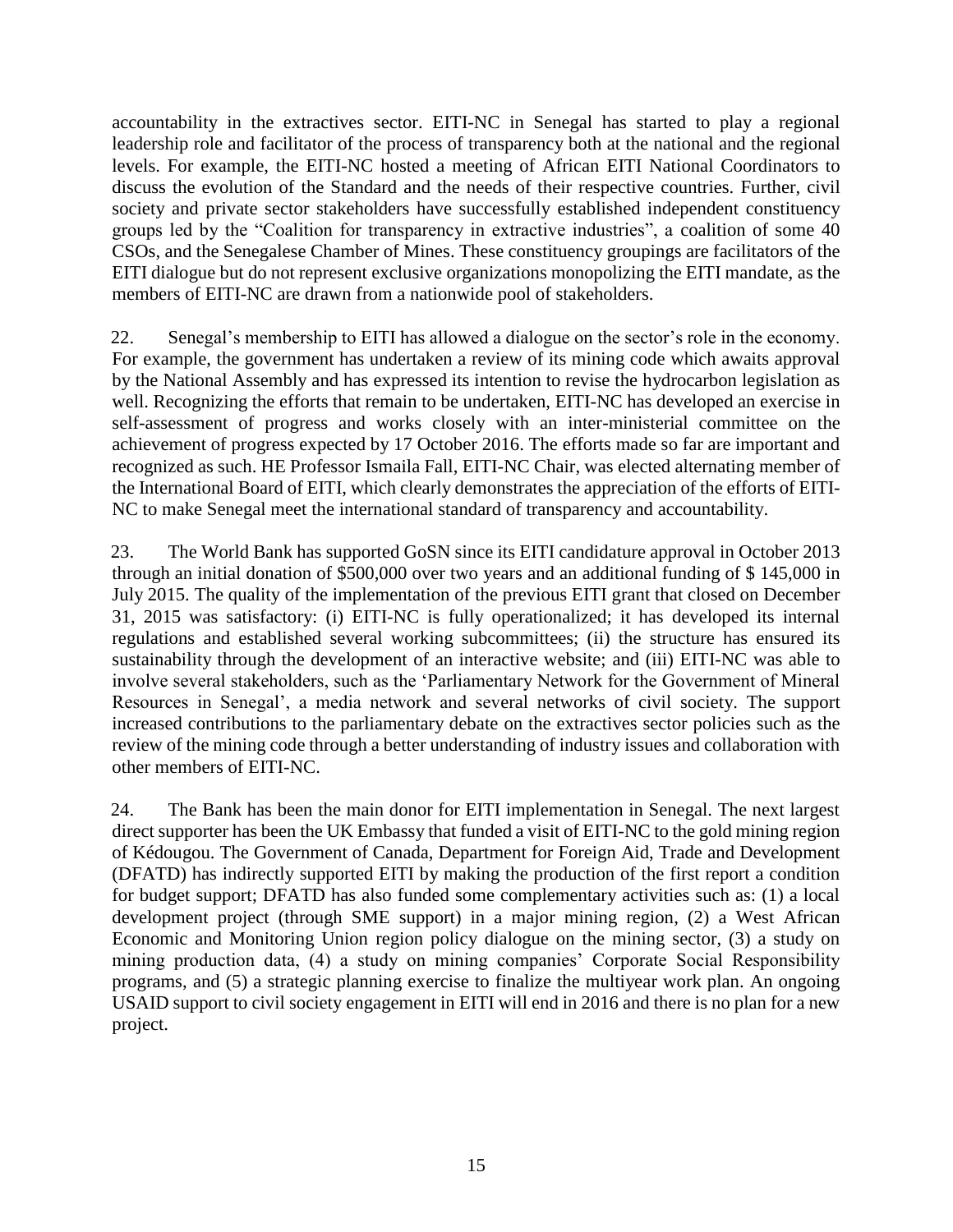accountability in the extractives sector. EITI-NC in Senegal has started to play a regional leadership role and facilitator of the process of transparency both at the national and the regional levels. For example, the EITI-NC hosted a meeting of African EITI National Coordinators to discuss the evolution of the Standard and the needs of their respective countries. Further, civil society and private sector stakeholders have successfully established independent constituency groups led by the "Coalition for transparency in extractive industries", a coalition of some 40 CSOs, and the Senegalese Chamber of Mines. These constituency groupings are facilitators of the EITI dialogue but do not represent exclusive organizations monopolizing the EITI mandate, as the members of EITI-NC are drawn from a nationwide pool of stakeholders.

22. Senegal's membership to EITI has allowed a dialogue on the sector's role in the economy. For example, the government has undertaken a review of its mining code which awaits approval by the National Assembly and has expressed its intention to revise the hydrocarbon legislation as well. Recognizing the efforts that remain to be undertaken, EITI-NC has developed an exercise in self-assessment of progress and works closely with an inter-ministerial committee on the achievement of progress expected by 17 October 2016. The efforts made so far are important and recognized as such. HE Professor Ismaila Fall, EITI-NC Chair, was elected alternating member of the International Board of EITI, which clearly demonstrates the appreciation of the efforts of EITI-NC to make Senegal meet the international standard of transparency and accountability.

23. The World Bank has supported GoSN since its EITI candidature approval in October 2013 through an initial donation of \$500,000 over two years and an additional funding of \$ 145,000 in July 2015. The quality of the implementation of the previous EITI grant that closed on December 31, 2015 was satisfactory: (i) EITI-NC is fully operationalized; it has developed its internal regulations and established several working subcommittees; (ii) the structure has ensured its sustainability through the development of an interactive website; and (iii) EITI-NC was able to involve several stakeholders, such as the 'Parliamentary Network for the Government of Mineral Resources in Senegal', a media network and several networks of civil society. The support increased contributions to the parliamentary debate on the extractives sector policies such as the review of the mining code through a better understanding of industry issues and collaboration with other members of EITI-NC.

24. The Bank has been the main donor for EITI implementation in Senegal. The next largest direct supporter has been the UK Embassy that funded a visit of EITI-NC to the gold mining region of Kédougou. The Government of Canada, Department for Foreign Aid, Trade and Development (DFATD) has indirectly supported EITI by making the production of the first report a condition for budget support; DFATD has also funded some complementary activities such as: (1) a local development project (through SME support) in a major mining region, (2) a West African Economic and Monitoring Union region policy dialogue on the mining sector, (3) a study on mining production data, (4) a study on mining companies' Corporate Social Responsibility programs, and (5) a strategic planning exercise to finalize the multiyear work plan. An ongoing USAID support to civil society engagement in EITI will end in 2016 and there is no plan for a new project.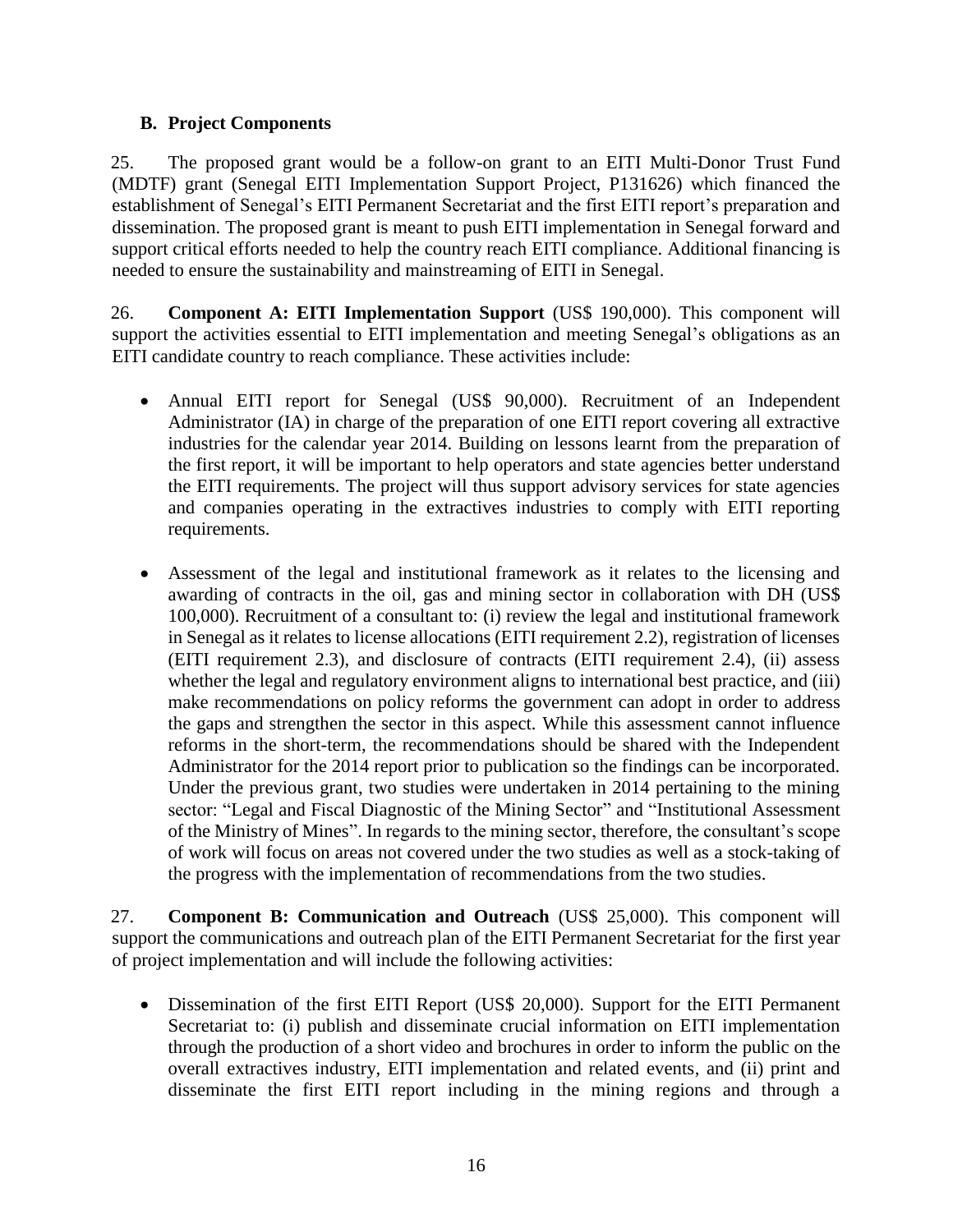#### **B. Project Components**

25. The proposed grant would be a follow-on grant to an EITI Multi-Donor Trust Fund (MDTF) grant (Senegal EITI Implementation Support Project, P131626) which financed the establishment of Senegal's EITI Permanent Secretariat and the first EITI report's preparation and dissemination. The proposed grant is meant to push EITI implementation in Senegal forward and support critical efforts needed to help the country reach EITI compliance. Additional financing is needed to ensure the sustainability and mainstreaming of EITI in Senegal.

26. **Component A: EITI Implementation Support** (US\$ 190,000). This component will support the activities essential to EITI implementation and meeting Senegal's obligations as an EITI candidate country to reach compliance. These activities include:

- Annual EITI report for Senegal (US\$ 90,000). Recruitment of an Independent Administrator (IA) in charge of the preparation of one EITI report covering all extractive industries for the calendar year 2014. Building on lessons learnt from the preparation of the first report, it will be important to help operators and state agencies better understand the EITI requirements. The project will thus support advisory services for state agencies and companies operating in the extractives industries to comply with EITI reporting requirements.
- Assessment of the legal and institutional framework as it relates to the licensing and awarding of contracts in the oil, gas and mining sector in collaboration with DH (US\$ 100,000). Recruitment of a consultant to: (i) review the legal and institutional framework in Senegal as it relates to license allocations (EITI requirement 2.2), registration of licenses (EITI requirement 2.3), and disclosure of contracts (EITI requirement 2.4), (ii) assess whether the legal and regulatory environment aligns to international best practice, and (iii) make recommendations on policy reforms the government can adopt in order to address the gaps and strengthen the sector in this aspect. While this assessment cannot influence reforms in the short-term, the recommendations should be shared with the Independent Administrator for the 2014 report prior to publication so the findings can be incorporated. Under the previous grant, two studies were undertaken in 2014 pertaining to the mining sector: "Legal and Fiscal Diagnostic of the Mining Sector" and "Institutional Assessment of the Ministry of Mines". In regards to the mining sector, therefore, the consultant's scope of work will focus on areas not covered under the two studies as well as a stock-taking of the progress with the implementation of recommendations from the two studies.

27. **Component B: Communication and Outreach** (US\$ 25,000). This component will support the communications and outreach plan of the EITI Permanent Secretariat for the first year of project implementation and will include the following activities:

 Dissemination of the first EITI Report (US\$ 20,000). Support for the EITI Permanent Secretariat to: (i) publish and disseminate crucial information on EITI implementation through the production of a short video and brochures in order to inform the public on the overall extractives industry, EITI implementation and related events, and (ii) print and disseminate the first EITI report including in the mining regions and through a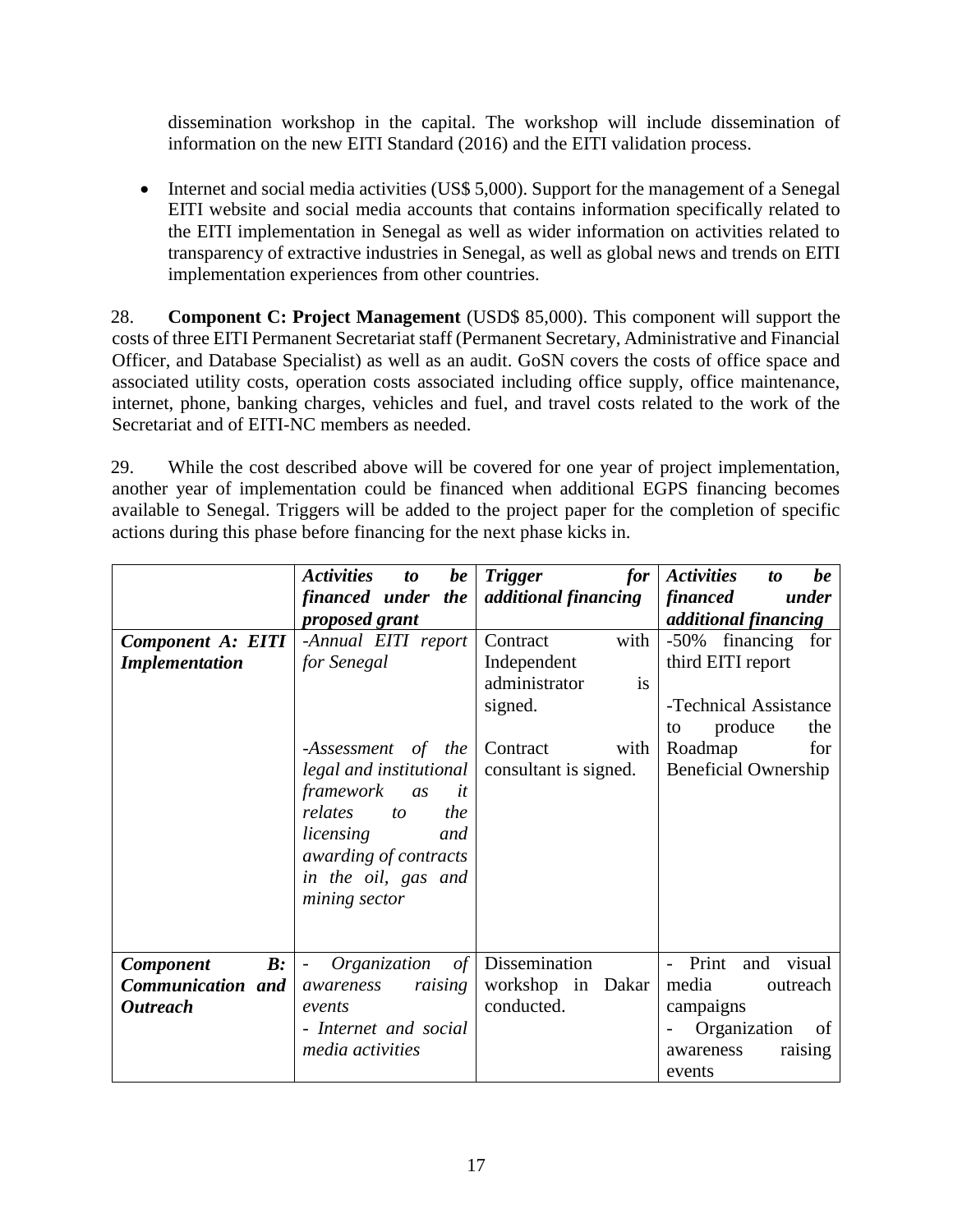dissemination workshop in the capital. The workshop will include dissemination of information on the new EITI Standard (2016) and the EITI validation process.

• Internet and social media activities (US\$ 5,000). Support for the management of a Senegal EITI website and social media accounts that contains information specifically related to the EITI implementation in Senegal as well as wider information on activities related to transparency of extractive industries in Senegal, as well as global news and trends on EITI implementation experiences from other countries.

28. **Component C: Project Management** (USD\$ 85,000). This component will support the costs of three EITI Permanent Secretariat staff (Permanent Secretary, Administrative and Financial Officer, and Database Specialist) as well as an audit. GoSN covers the costs of office space and associated utility costs, operation costs associated including office supply, office maintenance, internet, phone, banking charges, vehicles and fuel, and travel costs related to the work of the Secretariat and of EITI-NC members as needed.

29. While the cost described above will be covered for one year of project implementation, another year of implementation could be financed when additional EGPS financing becomes available to Senegal. Triggers will be added to the project paper for the completion of specific actions during this phase before financing for the next phase kicks in.

|                                    | <b>Activities</b><br>be<br>to<br>financed under the    | <b>Trigger</b><br>for<br>additional financing | <b>Activities</b><br>be<br>to<br>financed<br>under |
|------------------------------------|--------------------------------------------------------|-----------------------------------------------|----------------------------------------------------|
|                                    | proposed grant                                         |                                               | <i>additional financing</i>                        |
| <b>Component A: EITI</b>           | -Annual EITI report                                    | with<br>Contract                              | -50% financing<br>for                              |
| <b>Implementation</b>              | for Senegal                                            | Independent                                   | third EITI report                                  |
|                                    |                                                        | administrator<br>is                           |                                                    |
|                                    |                                                        | signed.                                       | -Technical Assistance                              |
|                                    |                                                        |                                               | produce<br>the<br>to                               |
|                                    | -Assessment of the                                     | Contract<br>with                              | Roadmap<br>for                                     |
|                                    | legal and institutional                                | consultant is signed.                         | <b>Beneficial Ownership</b>                        |
|                                    | framework<br>as<br>it                                  |                                               |                                                    |
|                                    | relates<br>the<br>to                                   |                                               |                                                    |
|                                    | licensing<br>and                                       |                                               |                                                    |
|                                    | awarding of contracts                                  |                                               |                                                    |
|                                    | in the oil, gas and                                    |                                               |                                                    |
|                                    | mining sector                                          |                                               |                                                    |
|                                    |                                                        |                                               |                                                    |
|                                    |                                                        |                                               |                                                    |
| $\mathbf{B}$ :<br><b>Component</b> | Organization<br>$\sigma f$<br>$\overline{\phantom{a}}$ | Dissemination                                 | Print<br>visual<br>and                             |
| Communication and                  | raising<br>awareness                                   | workshop in Dakar                             | media<br>outreach                                  |
| <b>Outreach</b>                    | events                                                 | conducted.                                    | campaigns                                          |
|                                    | - Internet and social                                  |                                               | Organization<br>0f                                 |
|                                    | media activities                                       |                                               | awareness<br>raising                               |
|                                    |                                                        |                                               | events                                             |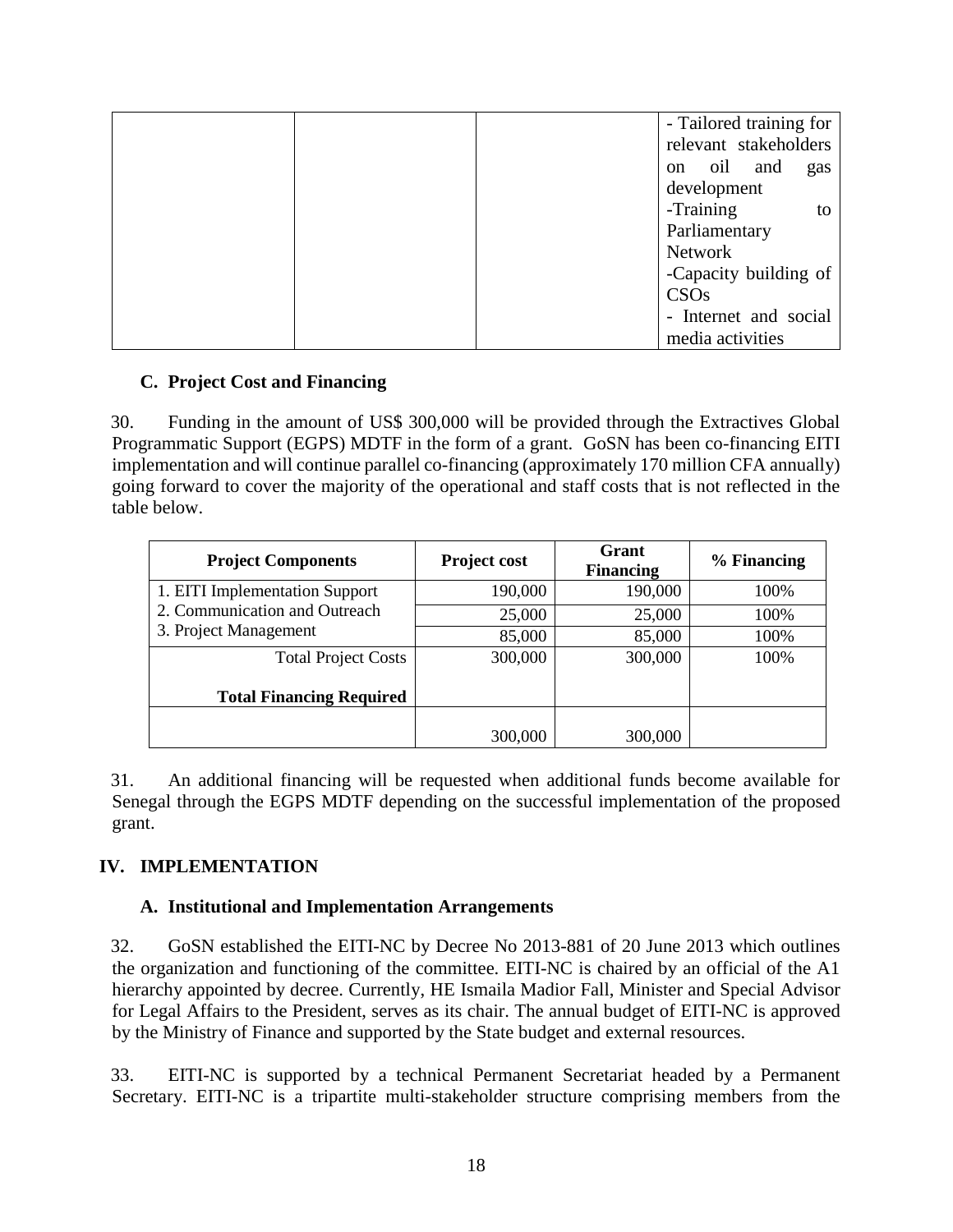|  | - Tailored training for     |     |
|--|-----------------------------|-----|
|  | relevant stakeholders       |     |
|  | oil<br>and<br><sub>on</sub> | gas |
|  | development                 |     |
|  | -Training                   | to  |
|  | Parliamentary               |     |
|  | Network                     |     |
|  | -Capacity building of       |     |
|  | CSOs                        |     |
|  | - Internet and social       |     |
|  | media activities            |     |

#### **C. Project Cost and Financing**

30. Funding in the amount of US\$ 300,000 will be provided through the Extractives Global Programmatic Support (EGPS) MDTF in the form of a grant. GoSN has been co-financing EITI implementation and will continue parallel co-financing (approximately 170 million CFA annually) going forward to cover the majority of the operational and staff costs that is not reflected in the table below.

| <b>Project Components</b>                              | <b>Project cost</b> | Grant<br><b>Financing</b> | % Financing |
|--------------------------------------------------------|---------------------|---------------------------|-------------|
| 1. EITI Implementation Support                         | 190,000             | 190,000                   | 100%        |
| 2. Communication and Outreach<br>3. Project Management | 25,000              | 25,000                    | 100%        |
|                                                        | 85,000              | 85,000                    | 100%        |
| <b>Total Project Costs</b>                             | 300,000             | 300,000                   | 100%        |
| <b>Total Financing Required</b>                        |                     |                           |             |
|                                                        | 300,000             | 300,000                   |             |

31. An additional financing will be requested when additional funds become available for Senegal through the EGPS MDTF depending on the successful implementation of the proposed grant.

## **IV. IMPLEMENTATION**

#### **A. Institutional and Implementation Arrangements**

32. GoSN established the EITI-NC by Decree No 2013-881 of 20 June 2013 which outlines the organization and functioning of the committee. EITI-NC is chaired by an official of the A1 hierarchy appointed by decree. Currently, HE Ismaila Madior Fall, Minister and Special Advisor for Legal Affairs to the President, serves as its chair. The annual budget of EITI-NC is approved by the Ministry of Finance and supported by the State budget and external resources.

33. EITI-NC is supported by a technical Permanent Secretariat headed by a Permanent Secretary. EITI-NC is a tripartite multi-stakeholder structure comprising members from the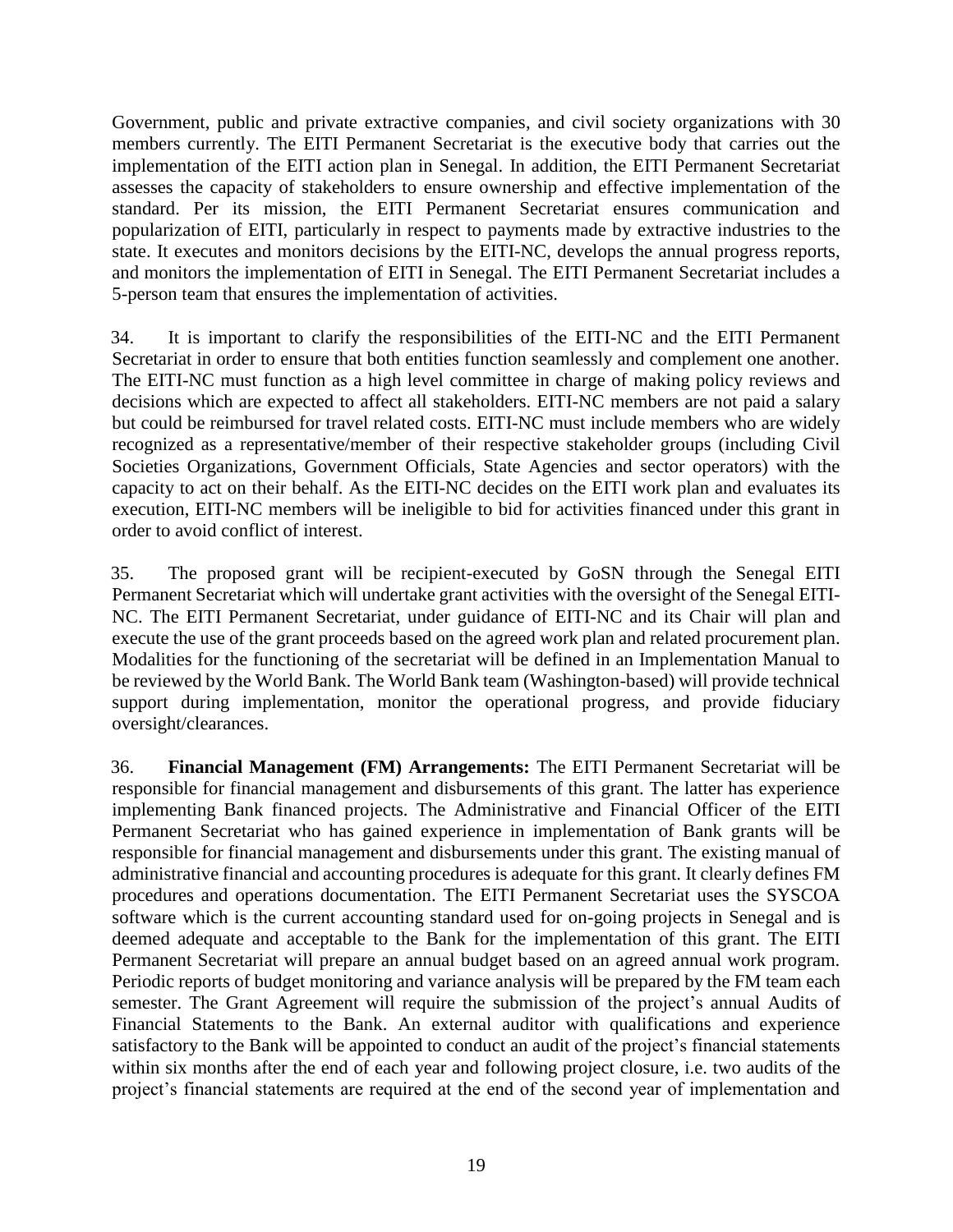Government, public and private extractive companies, and civil society organizations with 30 members currently. The EITI Permanent Secretariat is the executive body that carries out the implementation of the EITI action plan in Senegal. In addition, the EITI Permanent Secretariat assesses the capacity of stakeholders to ensure ownership and effective implementation of the standard. Per its mission, the EITI Permanent Secretariat ensures communication and popularization of EITI, particularly in respect to payments made by extractive industries to the state. It executes and monitors decisions by the EITI-NC, develops the annual progress reports, and monitors the implementation of EITI in Senegal. The EITI Permanent Secretariat includes a 5-person team that ensures the implementation of activities.

34. It is important to clarify the responsibilities of the EITI-NC and the EITI Permanent Secretariat in order to ensure that both entities function seamlessly and complement one another. The EITI-NC must function as a high level committee in charge of making policy reviews and decisions which are expected to affect all stakeholders. EITI-NC members are not paid a salary but could be reimbursed for travel related costs. EITI-NC must include members who are widely recognized as a representative/member of their respective stakeholder groups (including Civil Societies Organizations, Government Officials, State Agencies and sector operators) with the capacity to act on their behalf. As the EITI-NC decides on the EITI work plan and evaluates its execution, EITI-NC members will be ineligible to bid for activities financed under this grant in order to avoid conflict of interest.

35. The proposed grant will be recipient-executed by GoSN through the Senegal EITI Permanent Secretariat which will undertake grant activities with the oversight of the Senegal EITI-NC. The EITI Permanent Secretariat, under guidance of EITI-NC and its Chair will plan and execute the use of the grant proceeds based on the agreed work plan and related procurement plan. Modalities for the functioning of the secretariat will be defined in an Implementation Manual to be reviewed by the World Bank. The World Bank team (Washington-based) will provide technical support during implementation, monitor the operational progress, and provide fiduciary oversight/clearances.

36. **Financial Management (FM) Arrangements:** The EITI Permanent Secretariat will be responsible for financial management and disbursements of this grant. The latter has experience implementing Bank financed projects. The Administrative and Financial Officer of the EITI Permanent Secretariat who has gained experience in implementation of Bank grants will be responsible for financial management and disbursements under this grant. The existing manual of administrative financial and accounting procedures is adequate for this grant. It clearly defines FM procedures and operations documentation. The EITI Permanent Secretariat uses the SYSCOA software which is the current accounting standard used for on-going projects in Senegal and is deemed adequate and acceptable to the Bank for the implementation of this grant. The EITI Permanent Secretariat will prepare an annual budget based on an agreed annual work program. Periodic reports of budget monitoring and variance analysis will be prepared by the FM team each semester. The Grant Agreement will require the submission of the project's annual Audits of Financial Statements to the Bank. An external auditor with qualifications and experience satisfactory to the Bank will be appointed to conduct an audit of the project's financial statements within six months after the end of each year and following project closure, i.e. two audits of the project's financial statements are required at the end of the second year of implementation and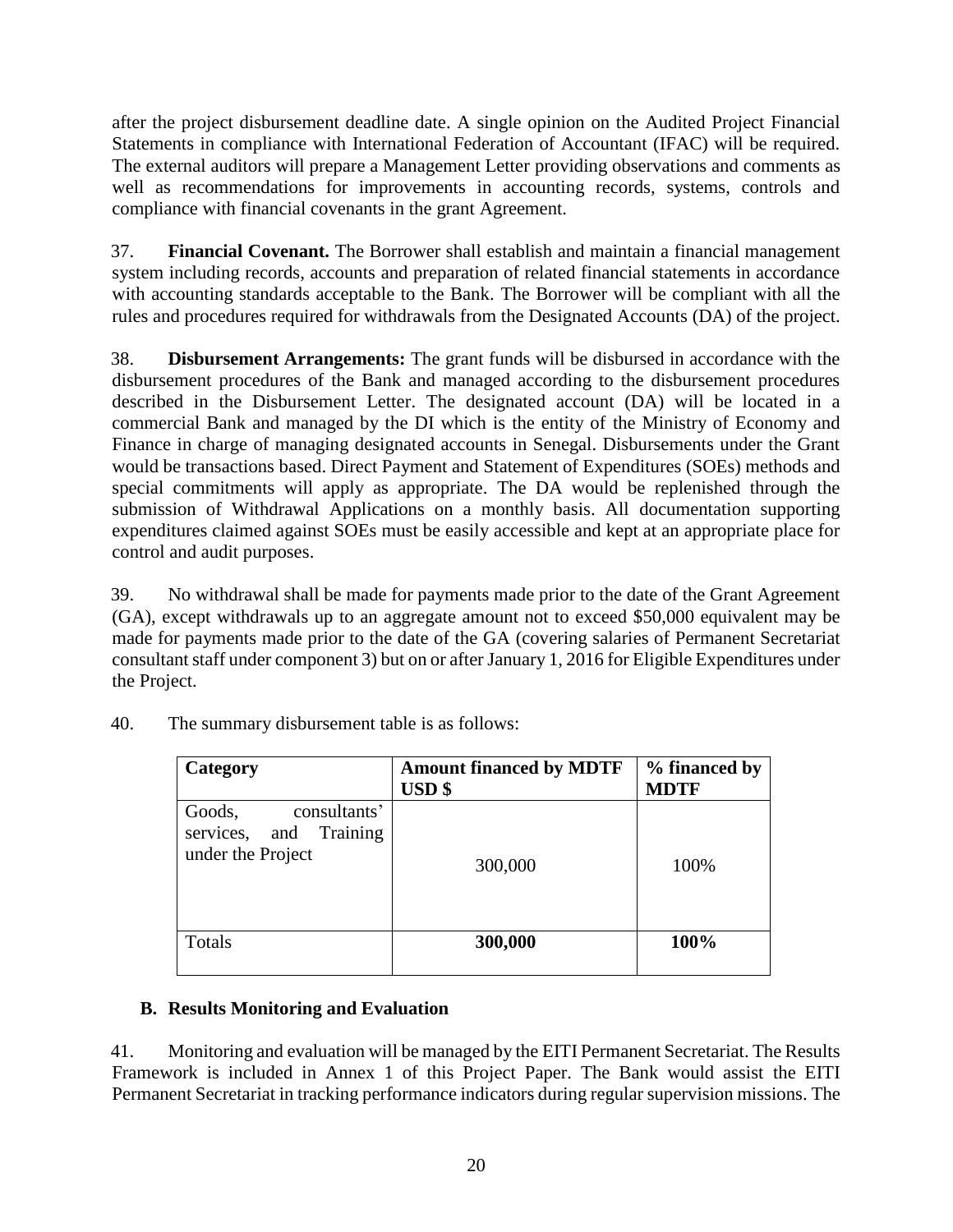after the project disbursement deadline date. A single opinion on the Audited Project Financial Statements in compliance with International Federation of Accountant (IFAC) will be required. The external auditors will prepare a Management Letter providing observations and comments as well as recommendations for improvements in accounting records, systems, controls and compliance with financial covenants in the grant Agreement.

37. **Financial Covenant.** The Borrower shall establish and maintain a financial management system including records, accounts and preparation of related financial statements in accordance with accounting standards acceptable to the Bank. The Borrower will be compliant with all the rules and procedures required for withdrawals from the Designated Accounts (DA) of the project.

38. **Disbursement Arrangements:** The grant funds will be disbursed in accordance with the disbursement procedures of the Bank and managed according to the disbursement procedures described in the Disbursement Letter. The designated account (DA) will be located in a commercial Bank and managed by the DI which is the entity of the Ministry of Economy and Finance in charge of managing designated accounts in Senegal. Disbursements under the Grant would be transactions based. Direct Payment and Statement of Expenditures (SOEs) methods and special commitments will apply as appropriate. The DA would be replenished through the submission of Withdrawal Applications on a monthly basis. All documentation supporting expenditures claimed against SOEs must be easily accessible and kept at an appropriate place for control and audit purposes.

39. No withdrawal shall be made for payments made prior to the date of the Grant Agreement (GA), except withdrawals up to an aggregate amount not to exceed \$50,000 equivalent may be made for payments made prior to the date of the GA (covering salaries of Permanent Secretariat consultant staff under component 3) but on or after January 1, 2016 for Eligible Expenditures under the Project.

| Category                                                                    | <b>Amount financed by MDTF</b><br><b>USD</b> \$ | % financed by<br><b>MDTF</b> |
|-----------------------------------------------------------------------------|-------------------------------------------------|------------------------------|
| consultants'<br>Goods,<br>Training<br>and<br>services,<br>under the Project | 300,000                                         | 100%                         |
| Totals                                                                      | 300,000                                         | 100%                         |

40. The summary disbursement table is as follows:

## **B. Results Monitoring and Evaluation**

41. Monitoring and evaluation will be managed by the EITI Permanent Secretariat. The Results Framework is included in Annex 1 of this Project Paper. The Bank would assist the EITI Permanent Secretariat in tracking performance indicators during regular supervision missions. The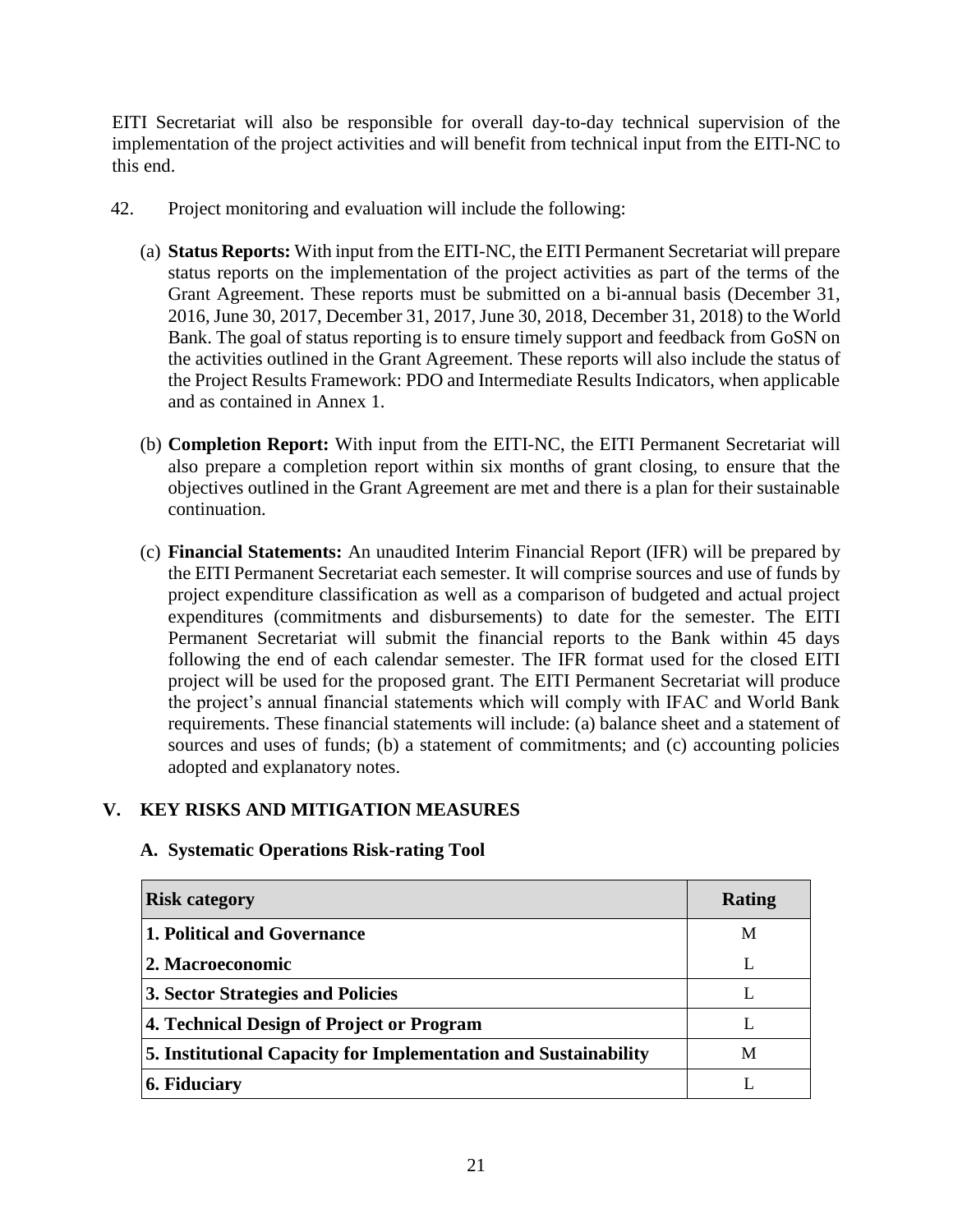EITI Secretariat will also be responsible for overall day-to-day technical supervision of the implementation of the project activities and will benefit from technical input from the EITI-NC to this end.

- 42. Project monitoring and evaluation will include the following:
	- (a) **Status Reports:** With input from the EITI-NC, the EITI Permanent Secretariat will prepare status reports on the implementation of the project activities as part of the terms of the Grant Agreement. These reports must be submitted on a bi-annual basis (December 31, 2016, June 30, 2017, December 31, 2017, June 30, 2018, December 31, 2018) to the World Bank. The goal of status reporting is to ensure timely support and feedback from GoSN on the activities outlined in the Grant Agreement. These reports will also include the status of the Project Results Framework: PDO and Intermediate Results Indicators, when applicable and as contained in Annex 1.
	- (b) **Completion Report:** With input from the EITI-NC, the EITI Permanent Secretariat will also prepare a completion report within six months of grant closing, to ensure that the objectives outlined in the Grant Agreement are met and there is a plan for their sustainable continuation.
	- (c) **Financial Statements:** An unaudited Interim Financial Report (IFR) will be prepared by the EITI Permanent Secretariat each semester. It will comprise sources and use of funds by project expenditure classification as well as a comparison of budgeted and actual project expenditures (commitments and disbursements) to date for the semester. The EITI Permanent Secretariat will submit the financial reports to the Bank within 45 days following the end of each calendar semester. The IFR format used for the closed EITI project will be used for the proposed grant. The EITI Permanent Secretariat will produce the project's annual financial statements which will comply with IFAC and World Bank requirements. These financial statements will include: (a) balance sheet and a statement of sources and uses of funds; (b) a statement of commitments; and (c) accounting policies adopted and explanatory notes.

#### **V. KEY RISKS AND MITIGATION MEASURES**

#### **A. Systematic Operations Risk-rating Tool**

| <b>Risk category</b>                                            | Rating |
|-----------------------------------------------------------------|--------|
| 1. Political and Governance                                     | M      |
| 2. Macroeconomic                                                |        |
| 3. Sector Strategies and Policies                               | L      |
| 4. Technical Design of Project or Program                       | L      |
| 5. Institutional Capacity for Implementation and Sustainability | M      |
| 6. Fiduciary                                                    |        |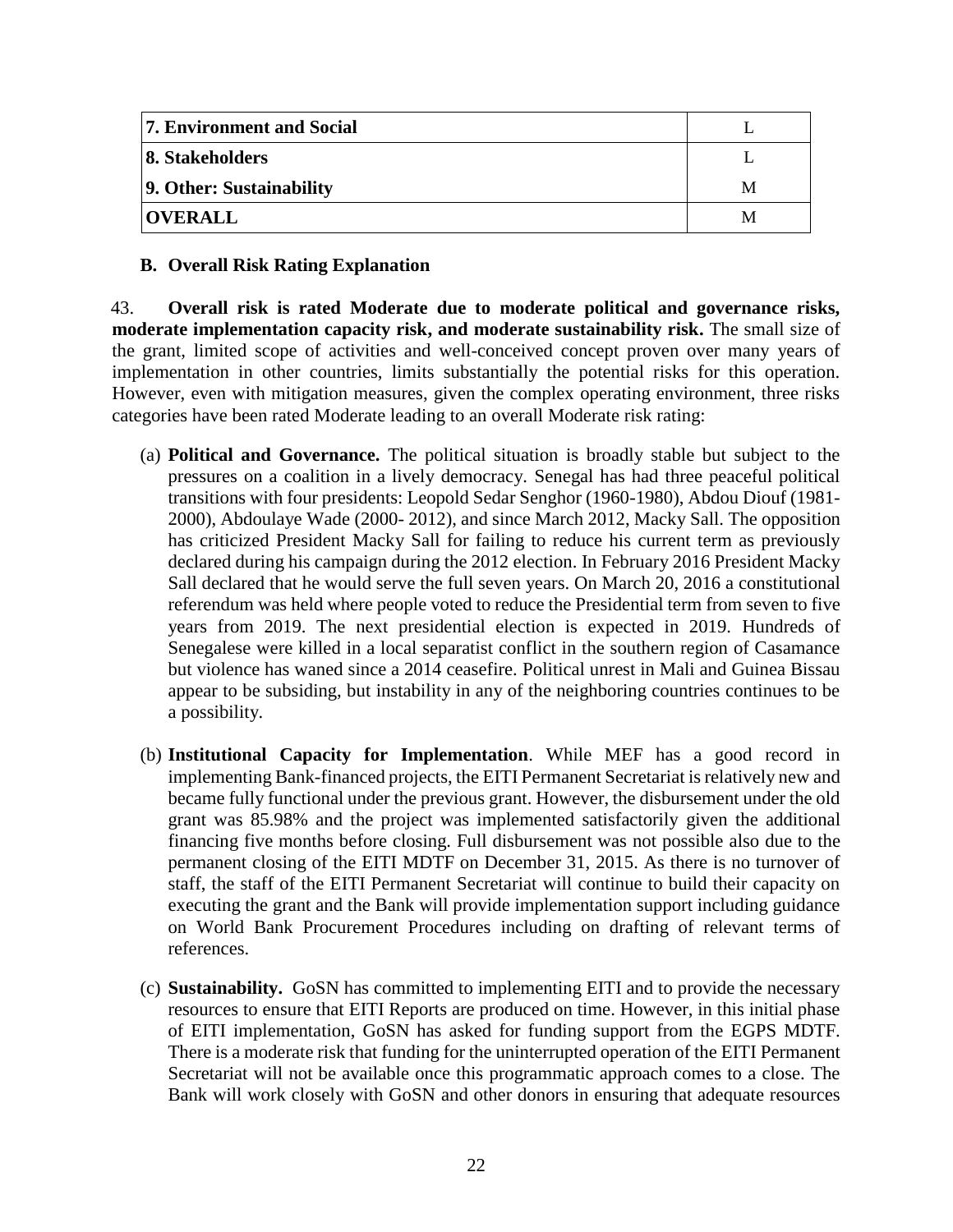| <b>7. Environment and Social</b> |   |
|----------------------------------|---|
| 8. Stakeholders                  |   |
| 9. Other: Sustainability         | М |
| <b>OVERALL</b>                   | M |

#### **B. Overall Risk Rating Explanation**

43. **Overall risk is rated Moderate due to moderate political and governance risks, moderate implementation capacity risk, and moderate sustainability risk.** The small size of the grant, limited scope of activities and well-conceived concept proven over many years of implementation in other countries, limits substantially the potential risks for this operation. However, even with mitigation measures, given the complex operating environment, three risks categories have been rated Moderate leading to an overall Moderate risk rating:

- (a) **Political and Governance.** The political situation is broadly stable but subject to the pressures on a coalition in a lively democracy. Senegal has had three peaceful political transitions with four presidents: Leopold Sedar Senghor (1960-1980), Abdou Diouf (1981- 2000), Abdoulaye Wade (2000- 2012), and since March 2012, Macky Sall. The opposition has criticized President Macky Sall for failing to reduce his current term as previously declared during his campaign during the 2012 election. In February 2016 President Macky Sall declared that he would serve the full seven years. On March 20, 2016 a constitutional referendum was held where people voted to reduce the Presidential term from seven to five years from 2019. The next presidential election is expected in 2019. Hundreds of Senegalese were killed in a local separatist conflict in the southern region of Casamance but violence has waned since a 2014 ceasefire. Political unrest in Mali and Guinea Bissau appear to be subsiding, but instability in any of the neighboring countries continues to be a possibility.
- (b) **Institutional Capacity for Implementation**. While MEF has a good record in implementing Bank-financed projects, the EITI Permanent Secretariat is relatively new and became fully functional under the previous grant. However, the disbursement under the old grant was 85.98% and the project was implemented satisfactorily given the additional financing five months before closing. Full disbursement was not possible also due to the permanent closing of the EITI MDTF on December 31, 2015. As there is no turnover of staff, the staff of the EITI Permanent Secretariat will continue to build their capacity on executing the grant and the Bank will provide implementation support including guidance on World Bank Procurement Procedures including on drafting of relevant terms of references.
- (c) **Sustainability.** GoSN has committed to implementing EITI and to provide the necessary resources to ensure that EITI Reports are produced on time. However, in this initial phase of EITI implementation, GoSN has asked for funding support from the EGPS MDTF. There is a moderate risk that funding for the uninterrupted operation of the EITI Permanent Secretariat will not be available once this programmatic approach comes to a close. The Bank will work closely with GoSN and other donors in ensuring that adequate resources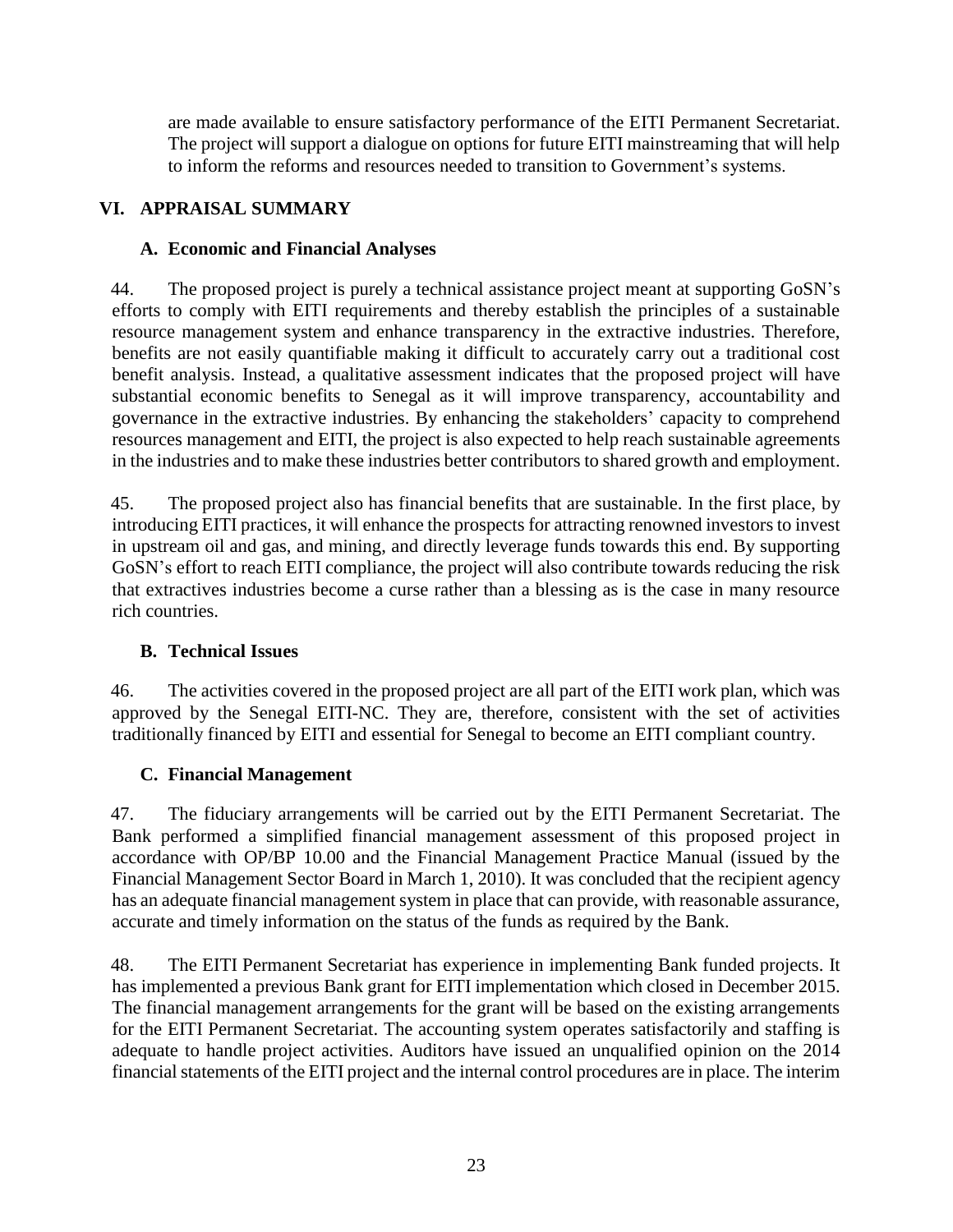are made available to ensure satisfactory performance of the EITI Permanent Secretariat. The project will support a dialogue on options for future EITI mainstreaming that will help to inform the reforms and resources needed to transition to Government's systems.

# **VI. APPRAISAL SUMMARY**

#### **A. Economic and Financial Analyses**

44. The proposed project is purely a technical assistance project meant at supporting GoSN's efforts to comply with EITI requirements and thereby establish the principles of a sustainable resource management system and enhance transparency in the extractive industries. Therefore, benefits are not easily quantifiable making it difficult to accurately carry out a traditional cost benefit analysis. Instead, a qualitative assessment indicates that the proposed project will have substantial economic benefits to Senegal as it will improve transparency, accountability and governance in the extractive industries. By enhancing the stakeholders' capacity to comprehend resources management and EITI, the project is also expected to help reach sustainable agreements in the industries and to make these industries better contributors to shared growth and employment.

45. The proposed project also has financial benefits that are sustainable. In the first place, by introducing EITI practices, it will enhance the prospects for attracting renowned investors to invest in upstream oil and gas, and mining, and directly leverage funds towards this end. By supporting GoSN's effort to reach EITI compliance, the project will also contribute towards reducing the risk that extractives industries become a curse rather than a blessing as is the case in many resource rich countries.

## **B. Technical Issues**

46. The activities covered in the proposed project are all part of the EITI work plan, which was approved by the Senegal EITI-NC. They are, therefore, consistent with the set of activities traditionally financed by EITI and essential for Senegal to become an EITI compliant country.

## **C. Financial Management**

47. The fiduciary arrangements will be carried out by the EITI Permanent Secretariat. The Bank performed a simplified financial management assessment of this proposed project in accordance with OP/BP 10.00 and the Financial Management Practice Manual (issued by the Financial Management Sector Board in March 1, 2010). It was concluded that the recipient agency has an adequate financial management system in place that can provide, with reasonable assurance, accurate and timely information on the status of the funds as required by the Bank.

48. The EITI Permanent Secretariat has experience in implementing Bank funded projects. It has implemented a previous Bank grant for EITI implementation which closed in December 2015. The financial management arrangements for the grant will be based on the existing arrangements for the EITI Permanent Secretariat. The accounting system operates satisfactorily and staffing is adequate to handle project activities. Auditors have issued an unqualified opinion on the 2014 financial statements of the EITI project and the internal control procedures are in place. The interim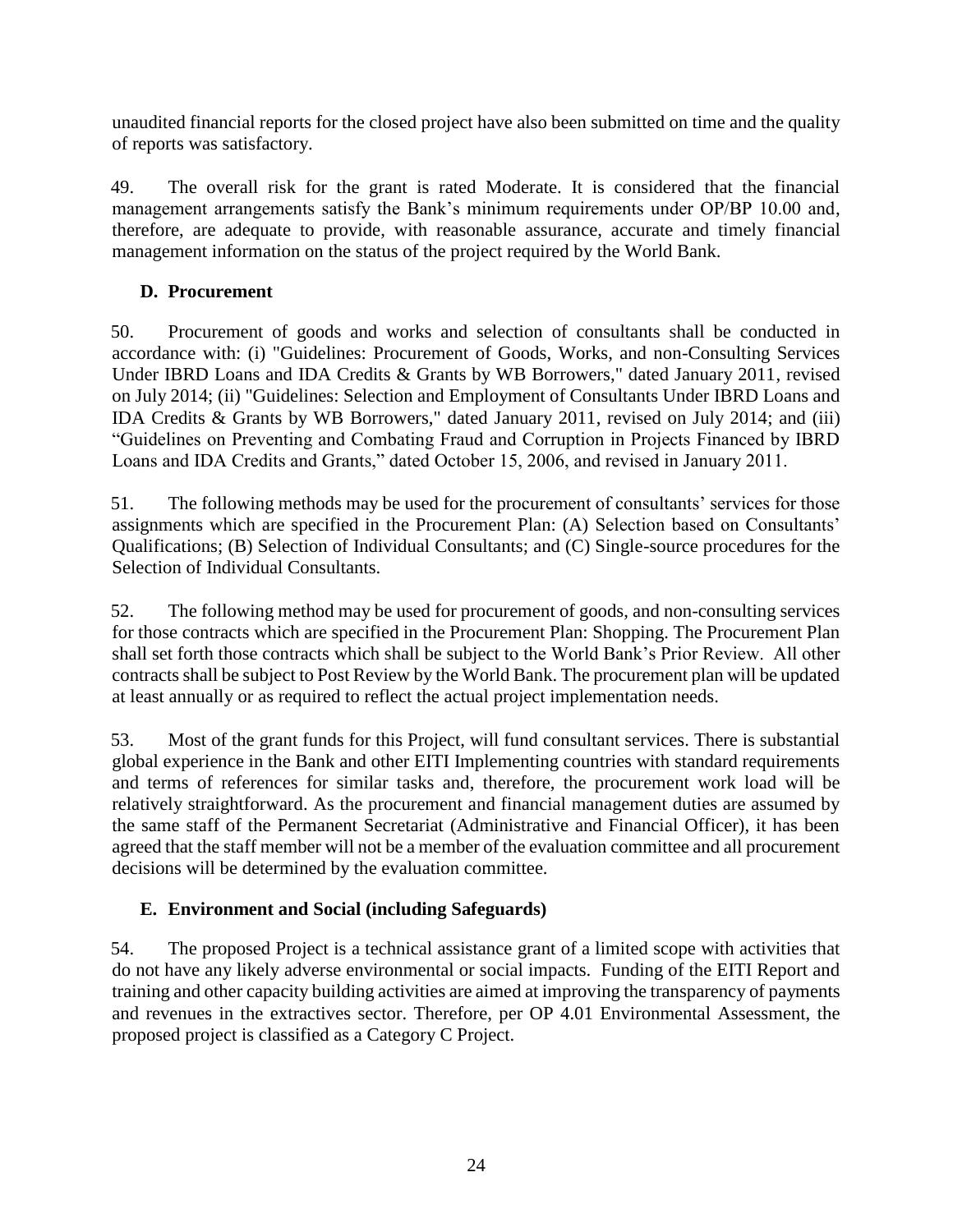unaudited financial reports for the closed project have also been submitted on time and the quality of reports was satisfactory.

49. The overall risk for the grant is rated Moderate. It is considered that the financial management arrangements satisfy the Bank's minimum requirements under OP/BP 10.00 and, therefore, are adequate to provide, with reasonable assurance, accurate and timely financial management information on the status of the project required by the World Bank.

#### **D. Procurement**

50. Procurement of goods and works and selection of consultants shall be conducted in accordance with: (i) "Guidelines: Procurement of Goods, Works, and non-Consulting Services Under IBRD Loans and IDA Credits & Grants by WB Borrowers," dated January 2011, revised on July 2014; (ii) "Guidelines: Selection and Employment of Consultants Under IBRD Loans and IDA Credits & Grants by WB Borrowers," dated January 2011, revised on July 2014; and (iii) "Guidelines on Preventing and Combating Fraud and Corruption in Projects Financed by IBRD Loans and IDA Credits and Grants," dated October 15, 2006, and revised in January 2011.

51. The following methods may be used for the procurement of consultants' services for those assignments which are specified in the Procurement Plan: (A) Selection based on Consultants' Qualifications; (B) Selection of Individual Consultants; and (C) Single-source procedures for the Selection of Individual Consultants.

52. The following method may be used for procurement of goods, and non-consulting services for those contracts which are specified in the Procurement Plan: Shopping. The Procurement Plan shall set forth those contracts which shall be subject to the World Bank's Prior Review. All other contracts shall be subject to Post Review by the World Bank. The procurement plan will be updated at least annually or as required to reflect the actual project implementation needs.

53. Most of the grant funds for this Project, will fund consultant services. There is substantial global experience in the Bank and other EITI Implementing countries with standard requirements and terms of references for similar tasks and, therefore, the procurement work load will be relatively straightforward. As the procurement and financial management duties are assumed by the same staff of the Permanent Secretariat (Administrative and Financial Officer), it has been agreed that the staff member will not be a member of the evaluation committee and all procurement decisions will be determined by the evaluation committee.

## **E. Environment and Social (including Safeguards)**

54. The proposed Project is a technical assistance grant of a limited scope with activities that do not have any likely adverse environmental or social impacts. Funding of the EITI Report and training and other capacity building activities are aimed at improving the transparency of payments and revenues in the extractives sector. Therefore, per OP 4.01 Environmental Assessment, the proposed project is classified as a Category C Project.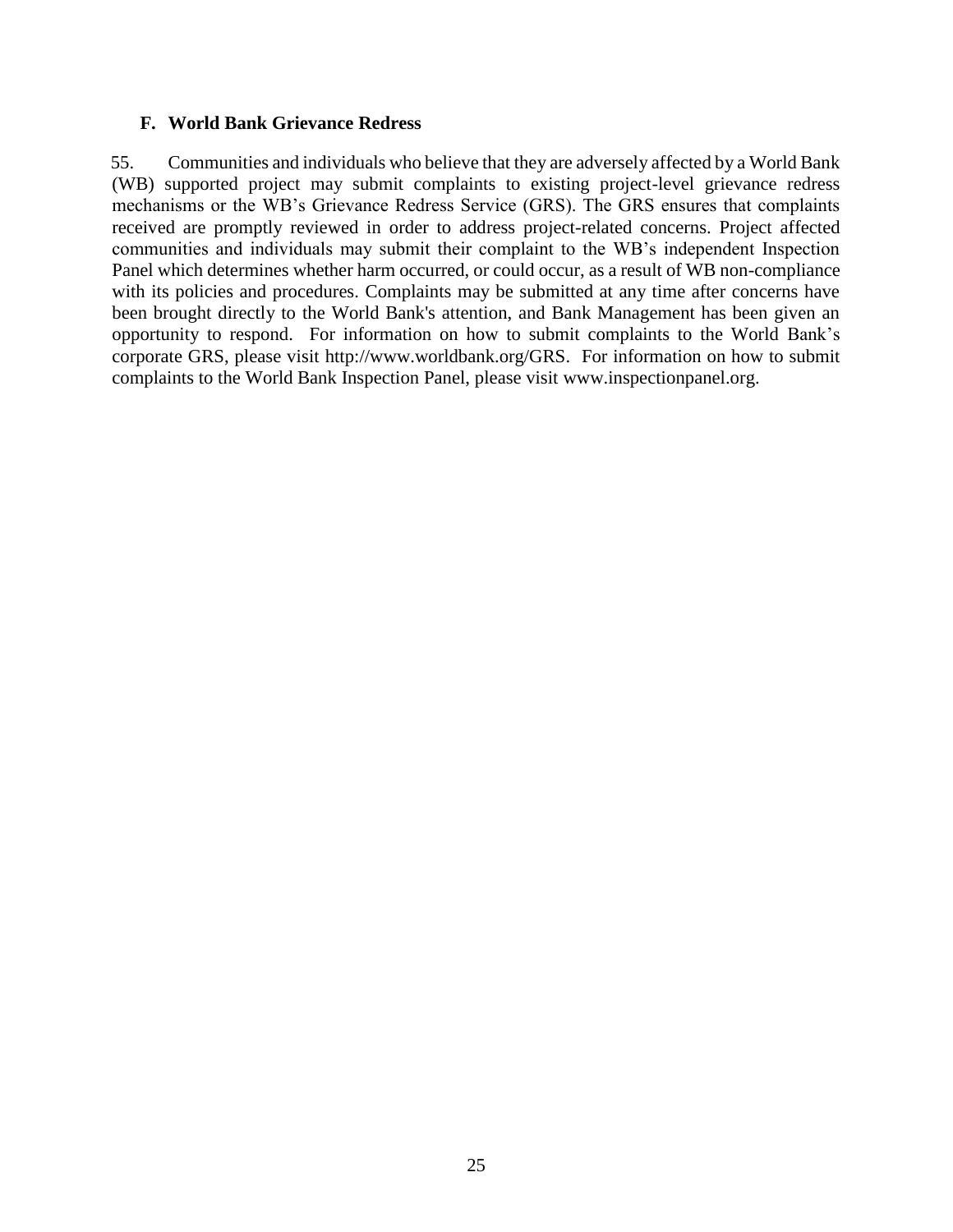#### **F. World Bank Grievance Redress**

55. Communities and individuals who believe that they are adversely affected by a World Bank (WB) supported project may submit complaints to existing project-level grievance redress mechanisms or the WB's Grievance Redress Service (GRS). The GRS ensures that complaints received are promptly reviewed in order to address project-related concerns. Project affected communities and individuals may submit their complaint to the WB's independent Inspection Panel which determines whether harm occurred, or could occur, as a result of WB non-compliance with its policies and procedures. Complaints may be submitted at any time after concerns have been brought directly to the World Bank's attention, and Bank Management has been given an opportunity to respond. For information on how to submit complaints to the World Bank's corporate GRS, please visit [http://www.worldbank.org/GRS.](http://www.worldbank.org/GRM) For information on how to submit complaints to the World Bank Inspection Panel, please visit [www.inspectionpanel.org.](http://www.inspectionpanel.org/)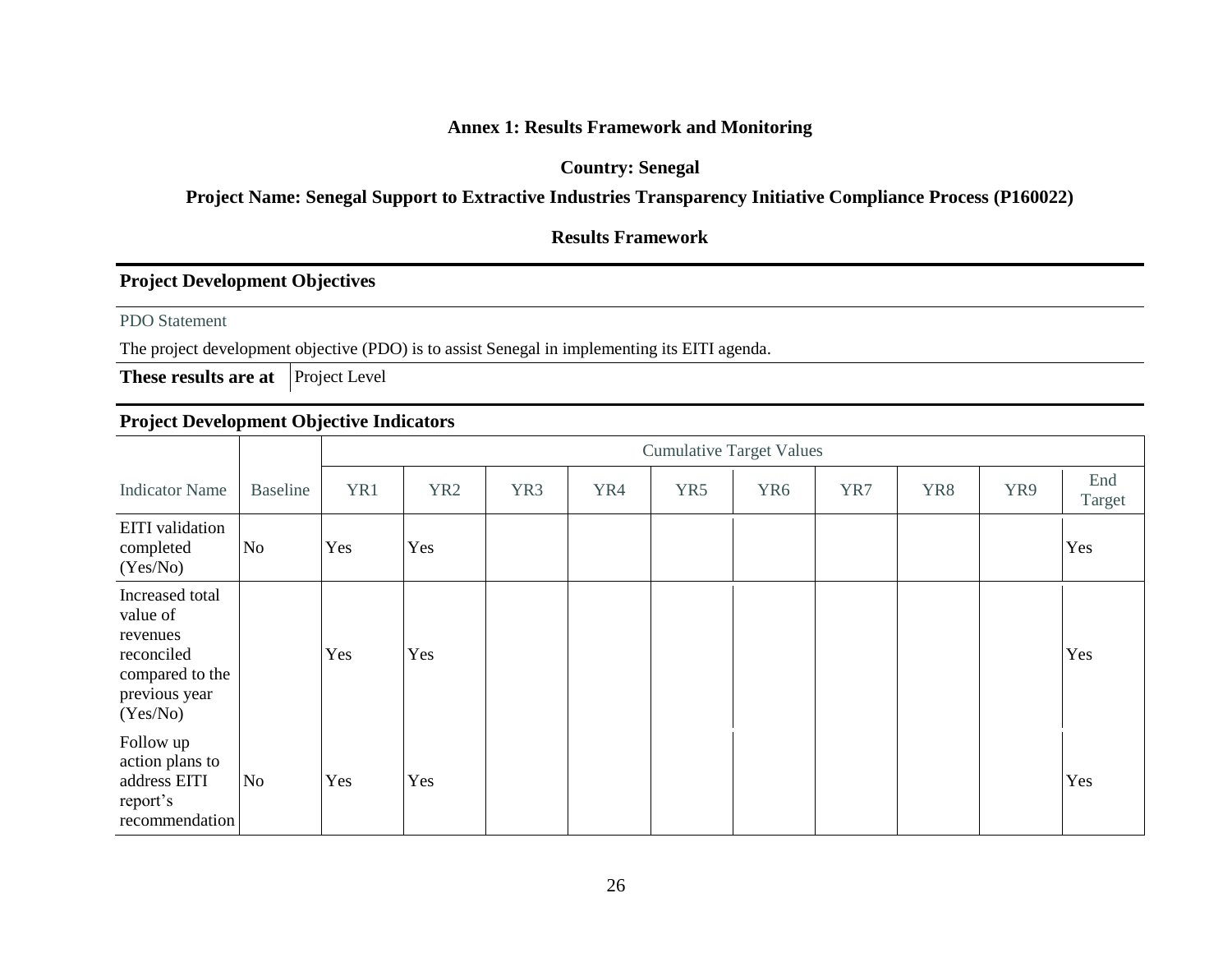#### **Annex 1: Results Framework and Monitoring**

#### **Country: Senegal**

# **Project Name: Senegal Support to Extractive Industries Transparency Initiative Compliance Process (P160022)**

## **Results Framework**

#### **Project Development Objectives**

PDO Statement

The project development objective (PDO) is to assist Senegal in implementing its EITI agenda.

**These results are at** Project Level

## **Project Development Objective Indicators**

|                                                                                                       |                 |     | <b>Cumulative Target Values</b> |     |     |     |                 |     |     |     |               |
|-------------------------------------------------------------------------------------------------------|-----------------|-----|---------------------------------|-----|-----|-----|-----------------|-----|-----|-----|---------------|
| <b>Indicator Name</b>                                                                                 | <b>Baseline</b> | YR1 | YR <sub>2</sub>                 | YR3 | YR4 | YR5 | YR <sub>6</sub> | YR7 | YR8 | YR9 | End<br>Target |
| <b>EITI</b> validation<br>completed<br>(Yes/No)                                                       | No              | Yes | Yes                             |     |     |     |                 |     |     |     | Yes           |
| Increased total<br>value of<br>revenues<br>reconciled<br>compared to the<br>previous year<br>(Yes/No) |                 | Yes | Yes                             |     |     |     |                 |     |     |     | Yes           |
| Follow up<br>action plans to<br>address EITI<br>report's<br>recommendation                            | No              | Yes | Yes                             |     |     |     |                 |     |     |     | Yes           |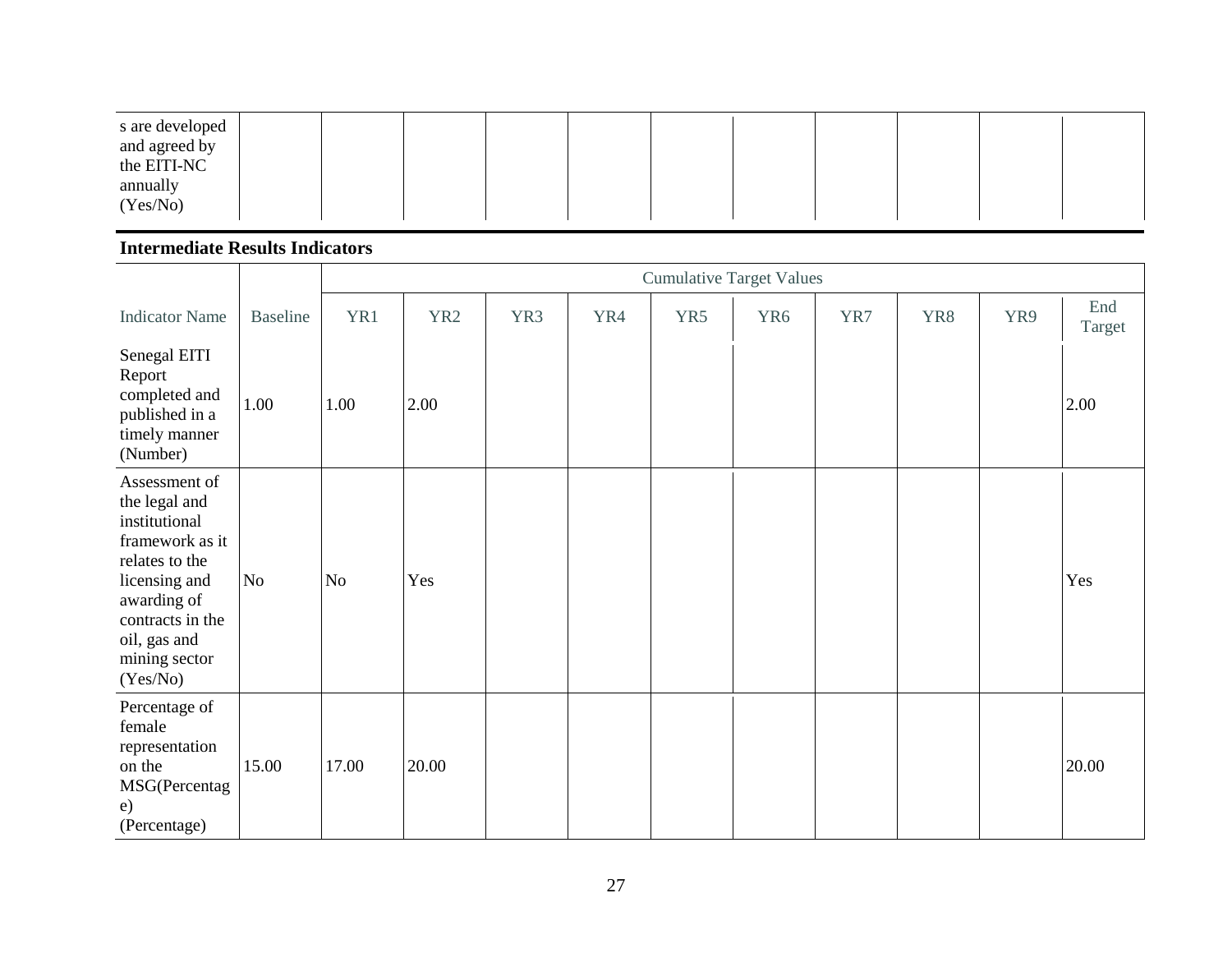| s are developed<br>and agreed by<br>the EITI-NC |  |  |  |  |  |  |
|-------------------------------------------------|--|--|--|--|--|--|
| annually<br>(Yes/No)                            |  |  |  |  |  |  |

#### **Intermediate Results Indicators**

|                                                                                                                                                                                       |                 |       | <b>Cumulative Target Values</b> |     |     |     |     |     |     |     |               |
|---------------------------------------------------------------------------------------------------------------------------------------------------------------------------------------|-----------------|-------|---------------------------------|-----|-----|-----|-----|-----|-----|-----|---------------|
| <b>Indicator Name</b>                                                                                                                                                                 | <b>Baseline</b> | YR1   | YR <sub>2</sub>                 | YR3 | YR4 | YR5 | YR6 | YR7 | YR8 | YR9 | End<br>Target |
| Senegal EITI<br>Report<br>completed and<br>published in a<br>timely manner<br>(Number)                                                                                                | 1.00            | 1.00  | 2.00                            |     |     |     |     |     |     |     | 2.00          |
| Assessment of<br>the legal and<br>institutional<br>framework as it<br>relates to the<br>licensing and<br>awarding of<br>contracts in the<br>oil, gas and<br>mining sector<br>(Yes/No) | No              | No    | Yes                             |     |     |     |     |     |     |     | Yes           |
| Percentage of<br>female<br>representation<br>on the<br>MSG(Percentag<br>e)<br>(Percentage)                                                                                            | 15.00           | 17.00 | 20.00                           |     |     |     |     |     |     |     | 20.00         |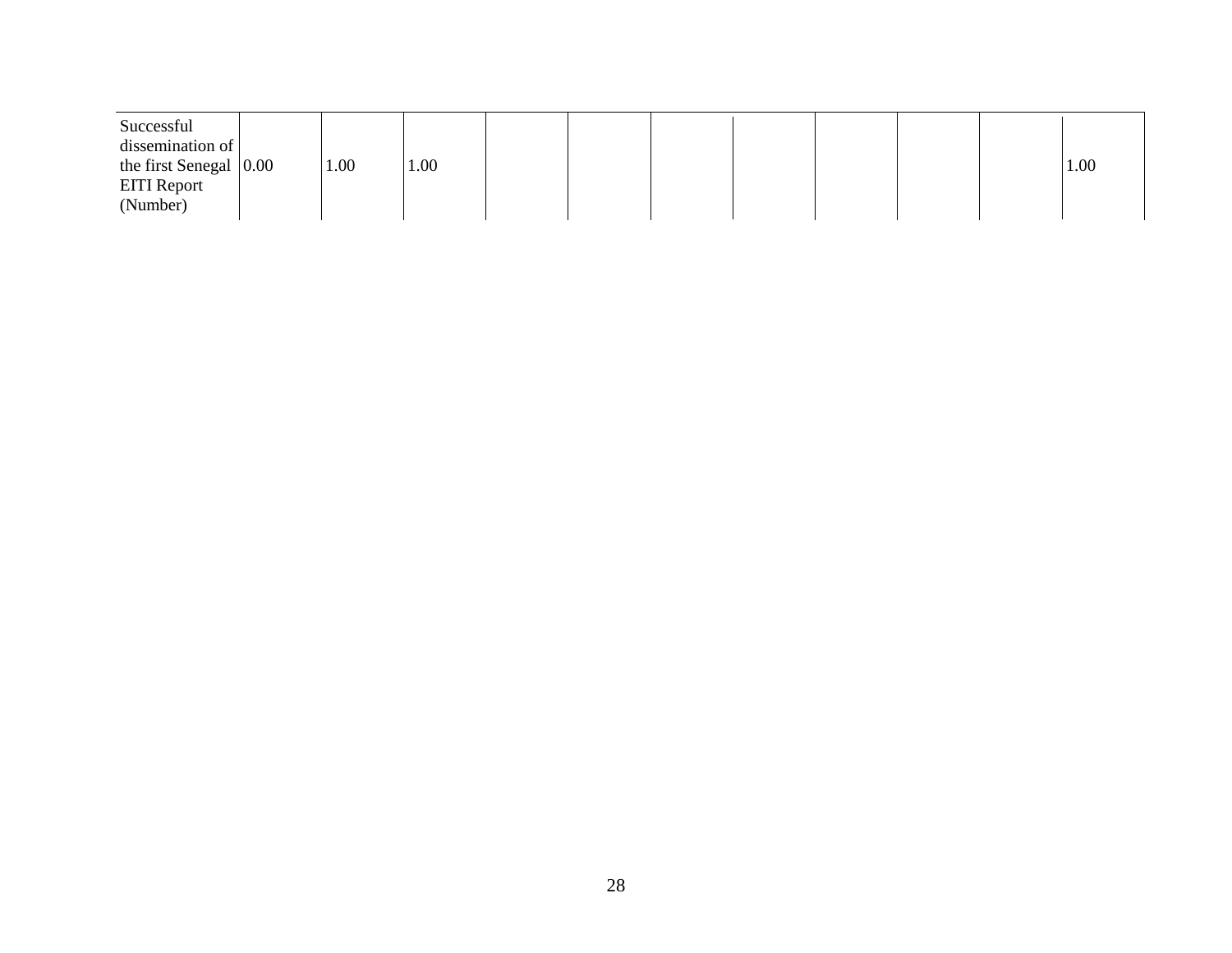| Successful<br>dissemination of<br>the first Senegal $ 0.00 $<br><b>EITI</b> Report<br>(Number) | 1.00 | 1.00 |  |  |  |  |  |  |  | 1.00 |
|------------------------------------------------------------------------------------------------|------|------|--|--|--|--|--|--|--|------|
|------------------------------------------------------------------------------------------------|------|------|--|--|--|--|--|--|--|------|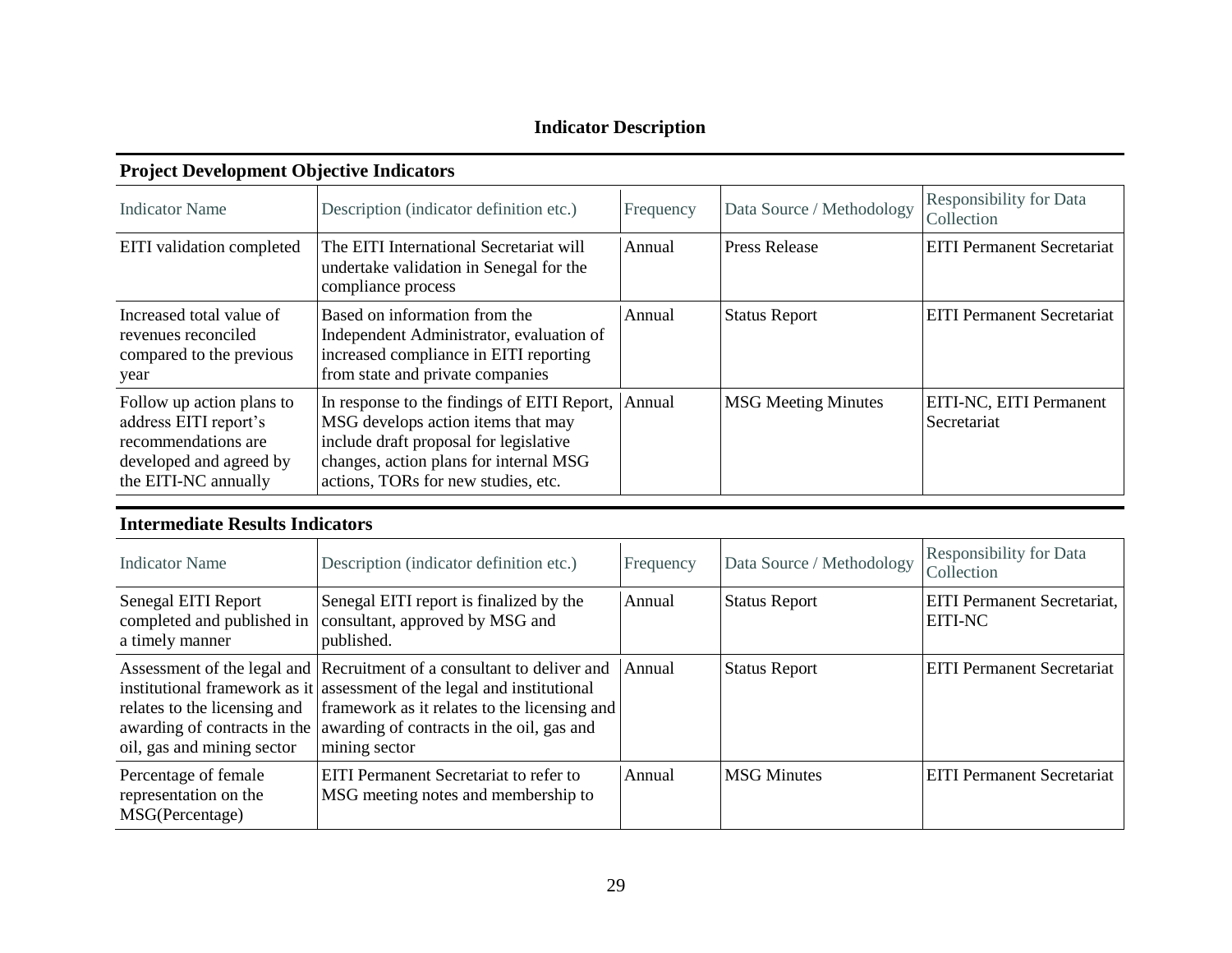# **Indicator Description**

# **Project Development Objective Indicators**

| <b>Indicator Name</b>                                                                                                        | Description (indicator definition etc.)                                                                                                                                                                      | Frequency | Data Source / Methodology  | <b>Responsibility for Data</b><br>Collection |
|------------------------------------------------------------------------------------------------------------------------------|--------------------------------------------------------------------------------------------------------------------------------------------------------------------------------------------------------------|-----------|----------------------------|----------------------------------------------|
| EITI validation completed                                                                                                    | The EITI International Secretariat will<br>undertake validation in Senegal for the<br>compliance process                                                                                                     | Annual    | <b>Press Release</b>       | <b>EITI</b> Permanent Secretariat            |
| Increased total value of<br>revenues reconciled<br>compared to the previous<br>year                                          | Based on information from the<br>Independent Administrator, evaluation of<br>increased compliance in EITI reporting<br>from state and private companies                                                      | Annual    | <b>Status Report</b>       | <b>EITI Permanent Secretariat</b>            |
| Follow up action plans to<br>address EITI report's<br>recommendations are<br>developed and agreed by<br>the EITI-NC annually | In response to the findings of EITI Report,<br>MSG develops action items that may<br>include draft proposal for legislative<br>changes, action plans for internal MSG<br>actions, TORs for new studies, etc. | Annual    | <b>MSG Meeting Minutes</b> | EITI-NC, EITI Permanent<br>Secretariat       |

# **Intermediate Results Indicators**

| <b>Indicator Name</b>                                                | Description (indicator definition etc.)                                                                                                                                                                                                                                                      | Frequency | Data Source / Methodology | <b>Responsibility for Data</b><br>Collection         |
|----------------------------------------------------------------------|----------------------------------------------------------------------------------------------------------------------------------------------------------------------------------------------------------------------------------------------------------------------------------------------|-----------|---------------------------|------------------------------------------------------|
| Senegal EITI Report<br>completed and published in<br>a timely manner | Senegal EITI report is finalized by the<br>consultant, approved by MSG and<br>published.                                                                                                                                                                                                     | Annual    | <b>Status Report</b>      | <b>EITI Permanent Secretariat,</b><br><b>EITI-NC</b> |
| relates to the licensing and<br>oil, gas and mining sector           | Assessment of the legal and Recruitment of a consultant to deliver and<br>institutional framework as it assessment of the legal and institutional<br>framework as it relates to the licensing and<br>awarding of contracts in the awarding of contracts in the oil, gas and<br>mining sector | Annual    | <b>Status Report</b>      | <b>EITI Permanent Secretariat</b>                    |
| Percentage of female<br>representation on the<br>MSG(Percentage)     | <b>EITI</b> Permanent Secretariat to refer to<br>MSG meeting notes and membership to                                                                                                                                                                                                         | Annual    | <b>MSG</b> Minutes        | <b>EITI Permanent Secretariat</b>                    |